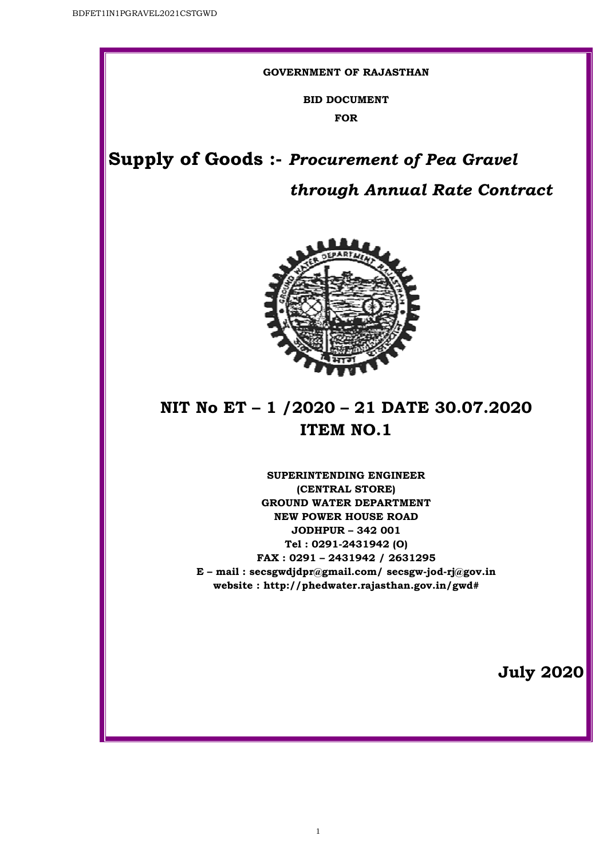#### **GOVERNMENT OF RAJASTHAN**

**BID DOCUMENT FOR** 

**Supply of Goods Goods :-** *Procurement of Pea Gravel*

# *through Annual Rate Contract*



# **NIT No ET – 1 /2020 – 21 DATE 30.07.2020 ITEM NO.1**

**E – mail : secsgwdjdpr@gmail.com/ secsgw-jod jod-rj@gov.in website : http://phedwater.rajasthan.gov.in http://phedwater.rajasthan.gov.in/gwd# SUPERINTENDING ENGINEER (CENTRAL STORE) GROUND WATER DEPARTMENT NEW POWER HOUSE ROAD JODHPUR – 342 001 Tel : 0291-2431942 (O) FAX : 0291 – 2431942 / 2631295**

1

**July 2020**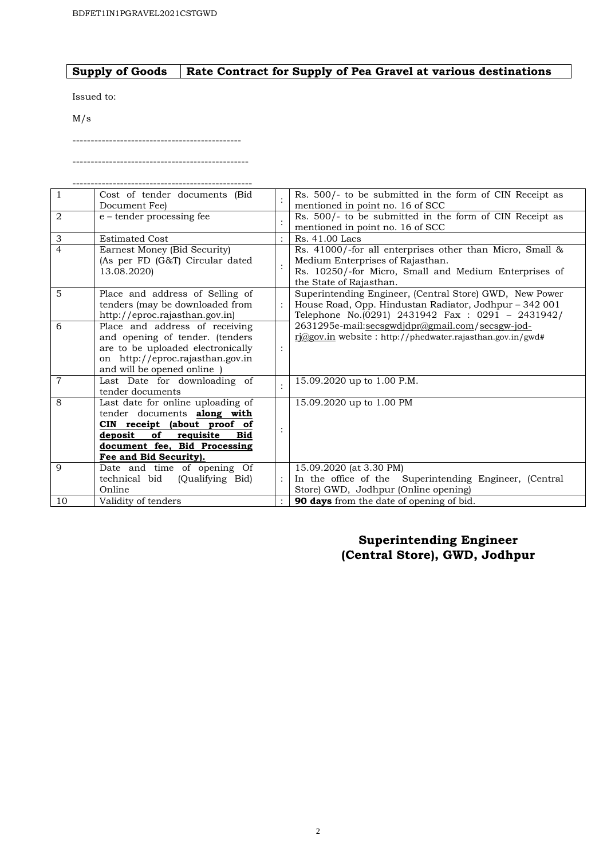#### **Supply of Goods Rate Contract for Supply of Pea Gravel at various destinations**

Issued to:

M/s

------------------------------------------------

----------------------------------------------

| $\overline{1}$ | Cost of tender documents (Bid                                    |                | Rs. 500/- to be submitted in the form of CIN Receipt as   |
|----------------|------------------------------------------------------------------|----------------|-----------------------------------------------------------|
|                | Document Fee)                                                    |                | mentioned in point no. 16 of SCC                          |
| $\overline{2}$ | $e$ – tender processing fee                                      |                | Rs. 500/- to be submitted in the form of CIN Receipt as   |
|                |                                                                  |                | mentioned in point no. 16 of SCC                          |
| $\mathfrak{Z}$ | <b>Estimated Cost</b>                                            |                | Rs. 41.00 Lacs                                            |
| $\overline{4}$ | Earnest Money (Bid Security)                                     |                | Rs. 41000/-for all enterprises other than Micro, Small &  |
|                | (As per FD (G&T) Circular dated                                  |                | Medium Enterprises of Rajasthan.                          |
|                | 13.08.2020)                                                      |                | Rs. 10250/-for Micro, Small and Medium Enterprises of     |
|                |                                                                  |                | the State of Rajasthan.                                   |
| $\overline{5}$ | Place and address of Selling of                                  |                | Superintending Engineer, (Central Store) GWD, New Power   |
|                | tenders (may be downloaded from                                  |                | House Road, Opp. Hindustan Radiator, Jodhpur - 342 001    |
|                | http://eproc.rajasthan.gov.in)                                   |                | Telephone No.(0291) 2431942 Fax : 0291 - 2431942/         |
| 6              | Place and address of receiving                                   |                | 2631295e-mail:secsgwdjdpr@gmail.com/secsgw-jod-           |
|                | and opening of tender. (tenders                                  |                | rj@gov.in website: http://phedwater.rajasthan.gov.in/gwd# |
|                | are to be uploaded electronically                                | $\ddot{\cdot}$ |                                                           |
|                | on http://eproc.rajasthan.gov.in                                 |                |                                                           |
|                | and will be opened online                                        |                |                                                           |
| $\overline{7}$ | Last Date for downloading of                                     |                | 15.09.2020 up to 1.00 P.M.                                |
| 8              | tender documents                                                 |                |                                                           |
|                | Last date for online uploading of                                |                | 15.09.2020 up to 1.00 PM                                  |
|                | tender documents <b>along</b> with                               |                |                                                           |
|                | CIN receipt (about proof of<br>of<br>deposit<br>requisite<br>Bid |                |                                                           |
|                | document fee, Bid Processing                                     |                |                                                           |
|                | Fee and Bid Security).                                           |                |                                                           |
| 9              | Date and time of opening Of                                      |                | 15.09.2020 (at 3.30 PM)                                   |
|                | technical bid<br>(Oualifying Bid)                                |                | In the office of the Superintending Engineer, (Central    |
|                | Online                                                           |                | Store) GWD, Jodhpur (Online opening)                      |
| 10             | Validity of tenders                                              |                | 90 days from the date of opening of bid.                  |

### **Superintending Engineer (Central Store), GWD, Jodhpur**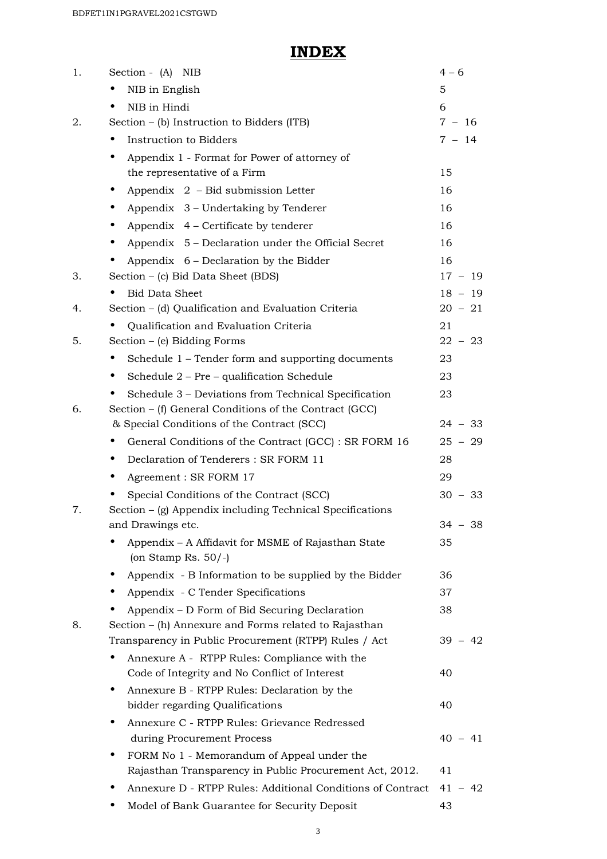## **INDEX**

| 1. | Section - (A) NIB                                                                                     | $4 - 6$   |  |  |
|----|-------------------------------------------------------------------------------------------------------|-----------|--|--|
|    | NIB in English                                                                                        | 5         |  |  |
|    | NIB in Hindi                                                                                          | 6         |  |  |
| 2. | Section $-$ (b) Instruction to Bidders (ITB)                                                          | $7 - 16$  |  |  |
|    | Instruction to Bidders                                                                                | $7 - 14$  |  |  |
|    | Appendix 1 - Format for Power of attorney of                                                          |           |  |  |
|    | the representative of a Firm                                                                          | 15        |  |  |
|    | Appendix 2 - Bid submission Letter<br>$\bullet$                                                       | 16        |  |  |
|    | Appendix 3 – Undertaking by Tenderer                                                                  | 16        |  |  |
|    | Appendix $4$ – Certificate by tenderer                                                                | 16        |  |  |
|    | Appendix 5 – Declaration under the Official Secret                                                    | 16        |  |  |
|    | Appendix 6 – Declaration by the Bidder                                                                | 16        |  |  |
| 3. | Section - (c) Bid Data Sheet (BDS)                                                                    | $17 - 19$ |  |  |
|    | <b>Bid Data Sheet</b>                                                                                 | $18 - 19$ |  |  |
| 4. | Section - (d) Qualification and Evaluation Criteria                                                   | $20 - 21$ |  |  |
|    | Qualification and Evaluation Criteria                                                                 | 21        |  |  |
| 5. | Section $-$ (e) Bidding Forms                                                                         | $22 - 23$ |  |  |
|    | Schedule 1 – Tender form and supporting documents<br>$\bullet$                                        | 23        |  |  |
|    | Schedule 2 - Pre - qualification Schedule                                                             | 23        |  |  |
|    | Schedule 3 – Deviations from Technical Specification                                                  | 23        |  |  |
| 6. | Section – (f) General Conditions of the Contract (GCC)                                                |           |  |  |
|    | & Special Conditions of the Contract (SCC)                                                            | $24 - 33$ |  |  |
|    | General Conditions of the Contract (GCC) : SR FORM 16                                                 | $25 - 29$ |  |  |
|    | Declaration of Tenderers: SR FORM 11<br>$\bullet$                                                     | 28        |  |  |
|    | Agreement : SR FORM 17                                                                                | 29        |  |  |
|    | Special Conditions of the Contract (SCC)                                                              | $30 - 33$ |  |  |
| 7. | Section – (g) Appendix including Technical Specifications                                             |           |  |  |
|    | and Drawings etc.                                                                                     | $34 - 38$ |  |  |
|    | Appendix - A Affidavit for MSME of Rajasthan State<br>(on Stamp Rs. $50/-$ )                          | 35        |  |  |
|    | Appendix - B Information to be supplied by the Bidder                                                 | 36        |  |  |
|    | Appendix - C Tender Specifications                                                                    | 37        |  |  |
|    | Appendix – D Form of Bid Securing Declaration                                                         | 38        |  |  |
| 8. | Section - (h) Annexure and Forms related to Rajasthan                                                 |           |  |  |
|    | Transparency in Public Procurement (RTPP) Rules / Act                                                 | $39 - 42$ |  |  |
|    | Annexure A - RTPP Rules: Compliance with the                                                          |           |  |  |
|    | Code of Integrity and No Conflict of Interest                                                         | 40        |  |  |
|    | Annexure B - RTPP Rules: Declaration by the                                                           |           |  |  |
|    | bidder regarding Qualifications                                                                       | 40        |  |  |
|    | Annexure C - RTPP Rules: Grievance Redressed<br>$\bullet$                                             |           |  |  |
|    | during Procurement Process                                                                            | $40 - 41$ |  |  |
|    | FORM No 1 - Memorandum of Appeal under the<br>Rajasthan Transparency in Public Procurement Act, 2012. | 41        |  |  |
|    |                                                                                                       |           |  |  |
|    | Annexure D - RTPP Rules: Additional Conditions of Contract                                            | $41 - 42$ |  |  |
|    | Model of Bank Guarantee for Security Deposit                                                          | 43        |  |  |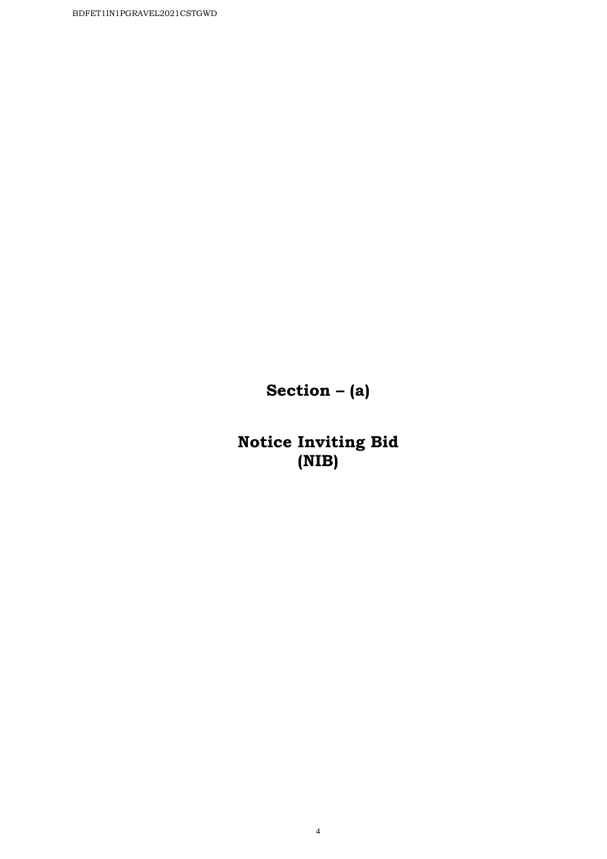**Section – (a)** 

**Notice Inviting Bid (NIB)**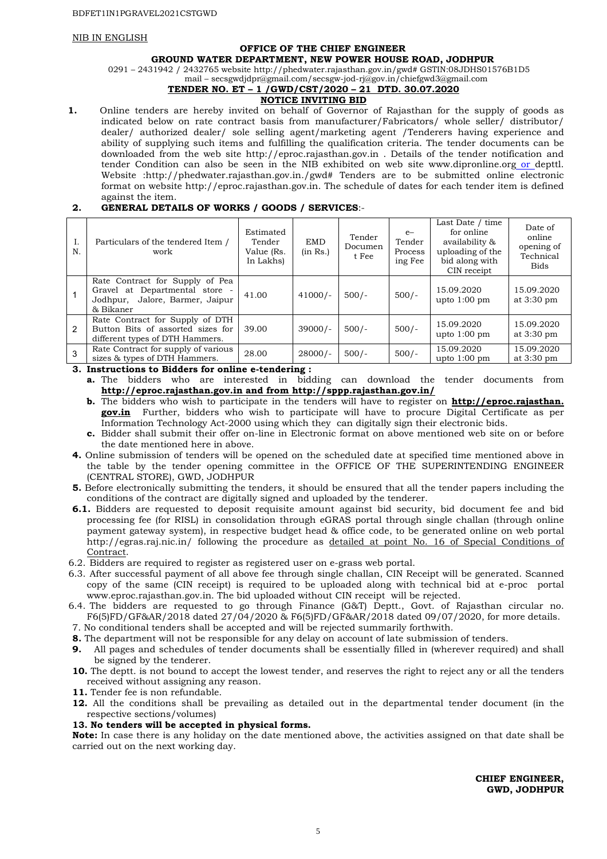#### NIB IN ENGLISH

#### **OFFICE OF THE CHIEF ENGINEER**

**GROUND WATER DEPARTMENT, NEW POWER HOUSE ROAD, JODHPUR** 

0291 – 2431942 / 2432765 website http://phedwater.rajasthan.gov.in/gwd# GSTIN:08JDHS01576B1D5

#### mail – secsgwdjdpr@gmail.com/secsgw-jod-rj@gov.in/chiefgwd3@gmail.com **TENDER NO. ET – 1 /GWD/CST/2020 – 21 DTD. 30.07.2020**

### **NOTICE INVITING BID**

**1.** Online tenders are hereby invited on behalf of Governor of Rajasthan for the supply of goods as indicated below on rate contract basis from manufacturer/Fabricators/ whole seller/ distributor/ dealer/ authorized dealer/ sole selling agent/marketing agent /Tenderers having experience and ability of supplying such items and fulfilling the qualification criteria. The tender documents can be downloaded from the web site http://eproc.rajasthan.gov.in . Details of the tender notification and tender Condition can also be seen in the NIB exhibited on web site www.dipronline.org or depttl. Website :http://phedwater.rajasthan.gov.in./gwd# Tenders are to be submitted online electronic format on website http://eproc.rajasthan.gov.in. The schedule of dates for each tender item is defined against the item.

#### **2. GENERAL DETAILS OF WORKS / GOODS / SERVICES**:-

| Ι.<br>N.       | Particulars of the tendered Item /<br>work                                                                        | Estimated<br>Tender<br>Value (Rs.<br>In Lakhs) | <b>EMD</b><br>(in Rs.) | Tender<br>Documen<br>t Fee | $e-$<br>Tender<br>Process<br>ing Fee | Last Date / time<br>for online<br>availability &<br>uploading of the<br>bid along with<br>CIN receipt | Date of<br>online<br>opening of<br>Technical<br><b>Bids</b> |
|----------------|-------------------------------------------------------------------------------------------------------------------|------------------------------------------------|------------------------|----------------------------|--------------------------------------|-------------------------------------------------------------------------------------------------------|-------------------------------------------------------------|
|                | Rate Contract for Supply of Pea<br>Gravel at Departmental store -<br>Jodhpur, Jalore, Barmer, Jaipur<br>& Bikaner | 41.00                                          | $41000/-$              | $500/-$                    | $500/-$                              | 15.09.2020<br>upto $1:00$ pm                                                                          | 15.09.2020<br>at 3:30 pm                                    |
| $\mathcal{P}$  | Rate Contract for Supply of DTH<br>Button Bits of assorted sizes for<br>different types of DTH Hammers.           | 39.00                                          | $39000/-$              | $500/-$                    | $500/-$                              | 15.09.2020<br>upto $1:00$ pm                                                                          | 15.09.2020<br>at $3:30 \text{ pm}$                          |
| $\overline{3}$ | Rate Contract for supply of various<br>sizes & types of DTH Hammers.                                              | 28.00                                          | $28000/-$              | $500/-$                    | $500/-$                              | 15.09.2020<br>upto $1:00$ pm                                                                          | 15.09.2020<br>at 3:30 pm                                    |

**3. Instructions to Bidders for online e-tendering :** 

**a.** The bidders who are interested in bidding can download the tender documents from **http://eproc.rajasthan.gov.in and from http://sppp.rajasthan.gov.in/**

- **b.** The bidders who wish to participate in the tenders will have to register on **http://eproc.rajasthan. gov.in** Further, bidders who wish to participate will have to procure Digital Certificate as per Information Technology Act-2000 using which they can digitally sign their electronic bids.
- **c.** Bidder shall submit their offer on-line in Electronic format on above mentioned web site on or before the date mentioned here in above.
- **4.** Online submission of tenders will be opened on the scheduled date at specified time mentioned above in the table by the tender opening committee in the OFFICE OF THE SUPERINTENDING ENGINEER (CENTRAL STORE), GWD, JODHPUR
- **5.** Before electronically submitting the tenders, it should be ensured that all the tender papers including the conditions of the contract are digitally signed and uploaded by the tenderer.
- **6.1.** Bidders are requested to deposit requisite amount against bid security, bid document fee and bid processing fee (for RISL) in consolidation through eGRAS portal through single challan (through online payment gateway system), in respective budget head & office code, to be generated online on web portal http://egras.raj.nic.in/ following the procedure as detailed at point No. 16 of Special Conditions of Contract.
- 6.2. Bidders are required to register as registered user on e-grass web portal.
- 6.3. After successful payment of all above fee through single challan, CIN Receipt will be generated. Scanned copy of the same (CIN receipt) is required to be uploaded along with technical bid at e-proc portal www.eproc.rajasthan.gov.in. The bid uploaded without CIN receipt will be rejected.
- 6.4. The bidders are requested to go through Finance (G&T) Deptt., Govt. of Rajasthan circular no. F6(5)FD/GF&AR/2018 dated 27/04/2020 & F6(5)FD/GF&AR/2018 dated 09/07/2020, for more details.
- 7. No conditional tenders shall be accepted and will be rejected summarily forthwith.
- **8.** The department will not be responsible for any delay on account of late submission of tenders.
- **9.** All pages and schedules of tender documents shall be essentially filled in (wherever required) and shall be signed by the tenderer.
- **10.** The deptt. is not bound to accept the lowest tender, and reserves the right to reject any or all the tenders received without assigning any reason.
- **11.** Tender fee is non refundable.
- **12.** All the conditions shall be prevailing as detailed out in the departmental tender document (in the respective sections/volumes)

#### **13. No tenders will be accepted in physical forms.**

**Note:** In case there is any holiday on the date mentioned above, the activities assigned on that date shall be carried out on the next working day.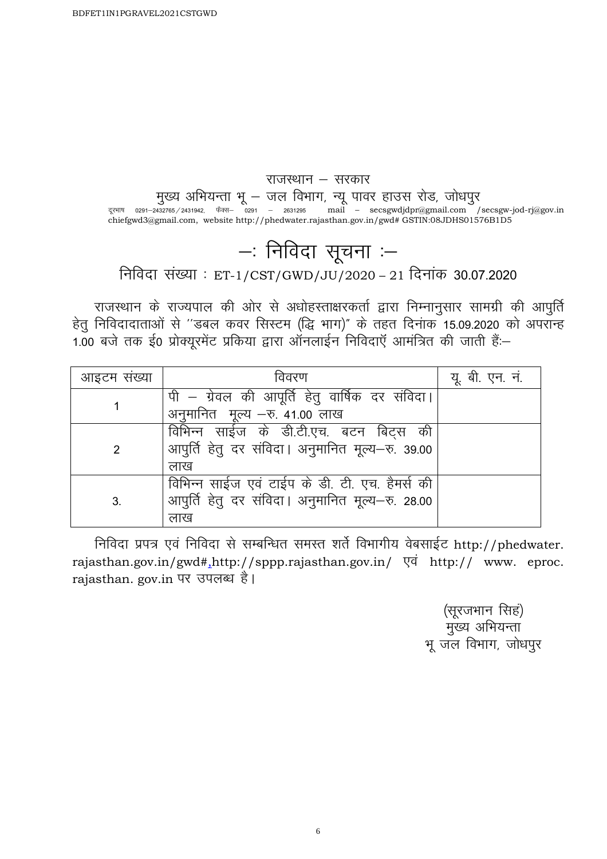Ξ

### राजस्थान  $-$  सरकार

मुख्य अभियन्ता भू — जल विभाग, न्यू पावर हाउस रोड, जोधपुर

दूरभाष 0291–2432765/2431942, फैक्स– 0291 – 2631295 mail – secsgwdjdpr@gmail.com /secsgw-jod-rj@gov.in chiefgwd3@gmail.com, website http://phedwater.rajasthan.gov.in/gwd# GSTIN:08JDHS01576B1D5

# $-$ : निविदा सूचना :–

निविदा संख्या : ET-1/CST/GWD/JU/2020 – 21 दिनांक 30.07.2020

राजस्थान के राज्यपाल की ओर से अधोहस्ताक्षरकर्ता द्वारा निम्नानुसार सामग्री की आपुर्ति हेतू निविदादाताओं से "डबल कवर सिस्टम (द्धि भाग)" के तहत दिनाक 15.09.2020 को अपरॉन्ह 1.00 बजे तक ई0 प्रोक्यूरमेंट प्रकिया द्वारा ऑनलाईन निविदाएँ आमंत्रित की जाती हैं:-

| आइटम संख्या | विवरण                                            | यू. बी. एन. नं. |
|-------------|--------------------------------------------------|-----------------|
|             | पी – ग्रेवल की आपूर्ति हेतु वार्षिक दर संविदा।   |                 |
|             | अनुमानित मूल्य - रु. 41.00 लाख                   |                 |
|             | विभिन्न साईज के डी.टी.एच. बटन बिट्स की           |                 |
| 2           | आपुर्ति हेतु दर संविदा। अनुमानित मूल्य-रु. 39.00 |                 |
|             | लाख                                              |                 |
|             | विभिन्न साईज एवं टाईप के डी. टी. एच. हैमर्स की   |                 |
| 3.          | आपुर्ति हेतु दर संविदा। अनुमानित मूल्य-रु. 28.00 |                 |
|             | लाख                                              |                 |

निविदा प्रपत्र एवं निविदा से सम्बन्धित समस्त शर्ते विभागीय वेबसाईट http://phedwater. rajasthan.gov.in/gwd#,http://sppp.rajasthan.gov.in/  $\nabla \vec{q}$  http:// www. eproc. rajasthan. gov.in पर उपलब्ध है।

> (सूरजभान सिहं) मुख्य अभियन्ता भू जल विभाग, जोधपुर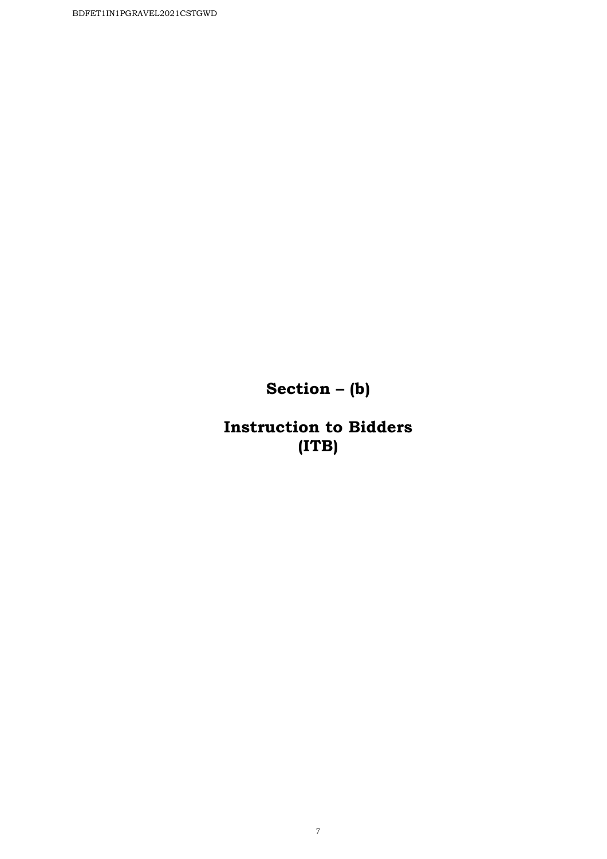**Section – (b)** 

**Instruction to Bidders (ITB)**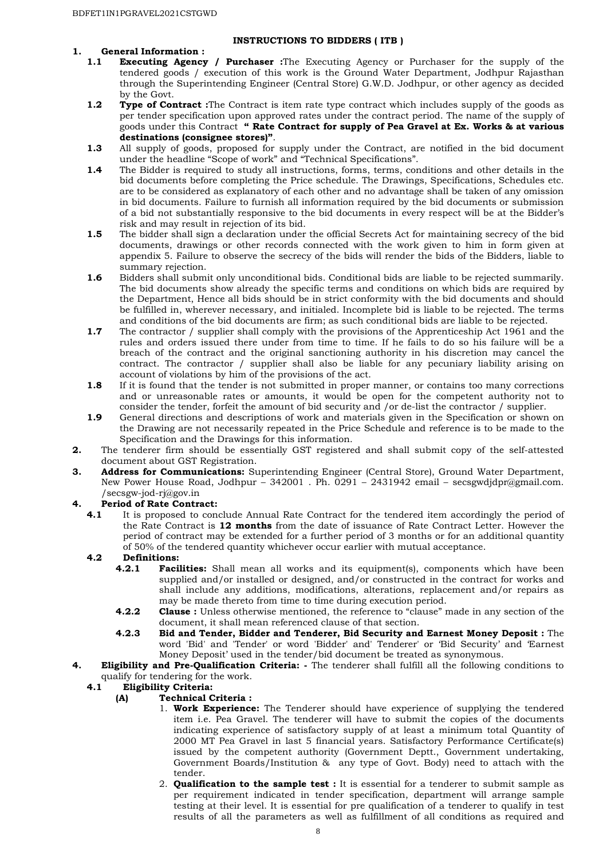#### **INSTRUCTIONS TO BIDDERS ( ITB )**

# **1. General Information :**

- **Executing Agency / Purchaser** :The Executing Agency or Purchaser for the supply of the tendered goods / execution of this work is the Ground Water Department, Jodhpur Rajasthan through the Superintending Engineer (Central Store) G.W.D. Jodhpur, or other agency as decided by the Govt.
- **1.2 Type of Contract**: The Contract is item rate type contract which includes supply of the goods as per tender specification upon approved rates under the contract period. The name of the supply of goods under this Contract **" Rate Contract for supply of Pea Gravel at Ex. Works & at various destinations (consignee stores)"**.
- **1.3** All supply of goods, proposed for supply under the Contract, are notified in the bid document under the headline "Scope of work" and "Technical Specifications".
- **1.4** The Bidder is required to study all instructions, forms, terms, conditions and other details in the bid documents before completing the Price schedule. The Drawings, Specifications, Schedules etc. are to be considered as explanatory of each other and no advantage shall be taken of any omission in bid documents. Failure to furnish all information required by the bid documents or submission of a bid not substantially responsive to the bid documents in every respect will be at the Bidder's risk and may result in rejection of its bid.
- **1.5** The bidder shall sign a declaration under the official Secrets Act for maintaining secrecy of the bid documents, drawings or other records connected with the work given to him in form given at appendix 5. Failure to observe the secrecy of the bids will render the bids of the Bidders, liable to summary rejection.
- **1.6** Bidders shall submit only unconditional bids. Conditional bids are liable to be rejected summarily. The bid documents show already the specific terms and conditions on which bids are required by the Department, Hence all bids should be in strict conformity with the bid documents and should be fulfilled in, wherever necessary, and initialed. Incomplete bid is liable to be rejected. The terms and conditions of the bid documents are firm; as such conditional bids are liable to be rejected.
- **1.7** The contractor / supplier shall comply with the provisions of the Apprenticeship Act 1961 and the rules and orders issued there under from time to time. If he fails to do so his failure will be a breach of the contract and the original sanctioning authority in his discretion may cancel the contract. The contractor / supplier shall also be liable for any pecuniary liability arising on account of violations by him of the provisions of the act.
- **1.8** If it is found that the tender is not submitted in proper manner, or contains too many corrections and or unreasonable rates or amounts, it would be open for the competent authority not to consider the tender, forfeit the amount of bid security and /or de-list the contractor / supplier.
- **1.9** General directions and descriptions of work and materials given in the Specification or shown on the Drawing are not necessarily repeated in the Price Schedule and reference is to be made to the Specification and the Drawings for this information.
- **2.** The tenderer firm should be essentially GST registered and shall submit copy of the self-attested document about GST Registration.
- **3. Address for Communications:** Superintending Engineer (Central Store), Ground Water Department, New Power House Road, Jodhpur – 342001 . Ph. 0291 – 2431942 email – secsgwdjdpr@gmail.com. /secsgw-jod-rj@gov.in

#### **4. Period of Rate Contract:**

**4.1** It is proposed to conclude Annual Rate Contract for the tendered item accordingly the period of the Rate Contract is **12 months** from the date of issuance of Rate Contract Letter. However the period of contract may be extended for a further period of 3 months or for an additional quantity of 50% of the tendered quantity whichever occur earlier with mutual acceptance.

# **4.2 Definitions:**

- **Facilities:** Shall mean all works and its equipment(s), components which have been supplied and/or installed or designed, and/or constructed in the contract for works and shall include any additions, modifications, alterations, replacement and/or repairs as may be made thereto from time to time during execution period.
- **4.2.2 Clause :** Unless otherwise mentioned, the reference to "clause" made in any section of the document, it shall mean referenced clause of that section.
- **4.2.3 Bid and Tender, Bidder and Tenderer, Bid Security and Earnest Money Deposit :** The word 'Bid' and 'Tender' or word 'Bidder' and' Tenderer' or 'Bid Security' and 'Earnest Money Deposit' used in the tender/bid document be treated as synonymous.
- **4. Eligibility and Pre-Qualification Criteria:** The tenderer shall fulfill all the following conditions to qualify for tendering for the work.<br>**4.1** Eligibility Criteria:

#### **4.1 Eligibility Criteria:**

#### **(A) Technical Criteria :**

- 1. **Work Experience:** The Tenderer should have experience of supplying the tendered item i.e. Pea Gravel. The tenderer will have to submit the copies of the documents indicating experience of satisfactory supply of at least a minimum total Quantity of 2000 MT Pea Gravel in last 5 financial years. Satisfactory Performance Certificate(s) issued by the competent authority (Government Deptt., Government undertaking, Government Boards/Institution & any type of Govt. Body) need to attach with the tender.
- 2. **Qualification to the sample test :** It is essential for a tenderer to submit sample as per requirement indicated in tender specification, department will arrange sample testing at their level. It is essential for pre qualification of a tenderer to qualify in test results of all the parameters as well as fulfillment of all conditions as required and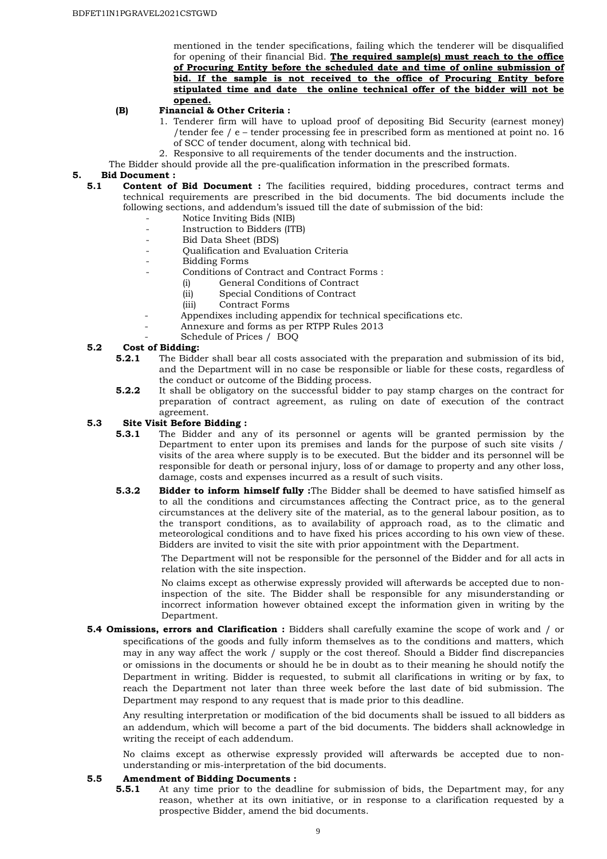mentioned in the tender specifications, failing which the tenderer will be disqualified for opening of their financial Bid. **The required sample(s) must reach to the office of Procuring Entity before the scheduled date and time of online submission of bid. If the sample is not received to the office of Procuring Entity before stipulated time and date the online technical offer of the bidder will not be opened.**

#### **(B) Financial & Other Criteria :**

- 1. Tenderer firm will have to upload proof of depositing Bid Security (earnest money) /tender fee / e – tender processing fee in prescribed form as mentioned at point no. 16 of SCC of tender document, along with technical bid.
- 2. Responsive to all requirements of the tender documents and the instruction.
- The Bidder should provide all the pre-qualification information in the prescribed formats.

# **5. Bid Document :**

- **5.1 Content of Bid Document :** The facilities required, bidding procedures, contract terms and technical requirements are prescribed in the bid documents. The bid documents include the following sections, and addendum's issued till the date of submission of the bid:
	- Notice Inviting Bids (NIB)
	- Instruction to Bidders (ITB)
	- Bid Data Sheet (BDS)
	- Qualification and Evaluation Criteria
	- Bidding Forms
	- Conditions of Contract and Contract Forms :
		- (i) General Conditions of Contract
		- (ii) Special Conditions of Contract
		- (iii) Contract Forms
		- Appendixes including appendix for technical specifications etc.
		- Annexure and forms as per RTPP Rules 2013
	- Schedule of Prices / BOQ

#### **5.2 Cost of Bidding:**

- **5.2.1** The Bidder shall bear all costs associated with the preparation and submission of its bid, and the Department will in no case be responsible or liable for these costs, regardless of the conduct or outcome of the Bidding process.
- **5.2.2** It shall be obligatory on the successful bidder to pay stamp charges on the contract for preparation of contract agreement, as ruling on date of execution of the contract agreement.

# **5.3 Site Visit Before Bidding :**

- **5.3.1** The Bidder and any of its personnel or agents will be granted permission by the Department to enter upon its premises and lands for the purpose of such site visits / visits of the area where supply is to be executed. But the bidder and its personnel will be responsible for death or personal injury, loss of or damage to property and any other loss, damage, costs and expenses incurred as a result of such visits.
- **5.3.2 Bidder to inform himself fully :**The Bidder shall be deemed to have satisfied himself as to all the conditions and circumstances affecting the Contract price, as to the general circumstances at the delivery site of the material, as to the general labour position, as to the transport conditions, as to availability of approach road, as to the climatic and meteorological conditions and to have fixed his prices according to his own view of these. Bidders are invited to visit the site with prior appointment with the Department.

The Department will not be responsible for the personnel of the Bidder and for all acts in relation with the site inspection.

No claims except as otherwise expressly provided will afterwards be accepted due to noninspection of the site. The Bidder shall be responsible for any misunderstanding or incorrect information however obtained except the information given in writing by the Department.

**5.4 Omissions, errors and Clarification :** Bidders shall carefully examine the scope of work and / or specifications of the goods and fully inform themselves as to the conditions and matters, which may in any way affect the work / supply or the cost thereof. Should a Bidder find discrepancies or omissions in the documents or should he be in doubt as to their meaning he should notify the Department in writing. Bidder is requested, to submit all clarifications in writing or by fax, to reach the Department not later than three week before the last date of bid submission. The Department may respond to any request that is made prior to this deadline.

Any resulting interpretation or modification of the bid documents shall be issued to all bidders as an addendum, which will become a part of the bid documents. The bidders shall acknowledge in writing the receipt of each addendum.

No claims except as otherwise expressly provided will afterwards be accepted due to nonunderstanding or mis-interpretation of the bid documents.

#### **5.5 Amendment of Bidding Documents :**

**5.5.1** At any time prior to the deadline for submission of bids, the Department may, for any reason, whether at its own initiative, or in response to a clarification requested by a prospective Bidder, amend the bid documents.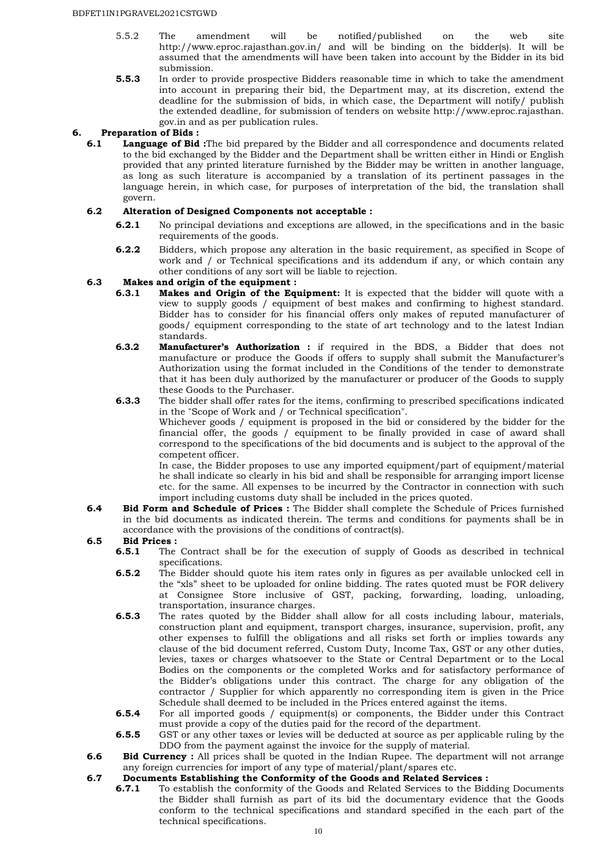- 5.5.2 The amendment will be notified/published on the web site http://www.eproc.rajasthan.gov.in/ and will be binding on the bidder(s). It will be assumed that the amendments will have been taken into account by the Bidder in its bid submission.
- **5.5.3** In order to provide prospective Bidders reasonable time in which to take the amendment into account in preparing their bid, the Department may, at its discretion, extend the deadline for the submission of bids, in which case, the Department will notify/ publish the extended deadline, for submission of tenders on website http://www.eproc.rajasthan. gov.in and as per publication rules.

#### **6. Preparation of Bids :**

**6.1 Language of Bid :**The bid prepared by the Bidder and all correspondence and documents related to the bid exchanged by the Bidder and the Department shall be written either in Hindi or English provided that any printed literature furnished by the Bidder may be written in another language, as long as such literature is accompanied by a translation of its pertinent passages in the language herein, in which case, for purposes of interpretation of the bid, the translation shall govern.

#### **6.2 Alteration of Designed Components not acceptable :**

- **6.2.1** No principal deviations and exceptions are allowed, in the specifications and in the basic requirements of the goods.
- **6.2.2** Bidders, which propose any alteration in the basic requirement, as specified in Scope of work and / or Technical specifications and its addendum if any, or which contain any other conditions of any sort will be liable to rejection.

# **6.3 Makes and origin of the equipment :**

- Makes and Origin of the Equipment: It is expected that the bidder will quote with a view to supply goods / equipment of best makes and confirming to highest standard. Bidder has to consider for his financial offers only makes of reputed manufacturer of goods/ equipment corresponding to the state of art technology and to the latest Indian standards.
- **6.3.2 Manufacturer's Authorization :** if required in the BDS, a Bidder that does not manufacture or produce the Goods if offers to supply shall submit the Manufacturer's Authorization using the format included in the Conditions of the tender to demonstrate that it has been duly authorized by the manufacturer or producer of the Goods to supply these Goods to the Purchaser.
- **6.3.3** The bidder shall offer rates for the items, confirming to prescribed specifications indicated in the "Scope of Work and / or Technical specification".

Whichever goods / equipment is proposed in the bid or considered by the bidder for the financial offer, the goods / equipment to be finally provided in case of award shall correspond to the specifications of the bid documents and is subject to the approval of the competent officer.

In case, the Bidder proposes to use any imported equipment/part of equipment/material he shall indicate so clearly in his bid and shall be responsible for arranging import license etc. for the same. All expenses to be incurred by the Contractor in connection with such import including customs duty shall be included in the prices quoted.

**6.4 Bid Form and Schedule of Prices :** The Bidder shall complete the Schedule of Prices furnished in the bid documents as indicated therein. The terms and conditions for payments shall be in accordance with the provisions of the conditions of contract(s).

# **6.5 Bid Prices :**

- **6.5.1** The Contract shall be for the execution of supply of Goods as described in technical specifications.
- **6.5.2** The Bidder should quote his item rates only in figures as per available unlocked cell in the "xls" sheet to be uploaded for online bidding. The rates quoted must be FOR delivery at Consignee Store inclusive of GST, packing, forwarding, loading, unloading, transportation, insurance charges.
- **6.5.3** The rates quoted by the Bidder shall allow for all costs including labour, materials, construction plant and equipment, transport charges, insurance, supervision, profit, any other expenses to fulfill the obligations and all risks set forth or implies towards any clause of the bid document referred, Custom Duty, Income Tax, GST or any other duties, levies, taxes or charges whatsoever to the State or Central Department or to the Local Bodies on the components or the completed Works and for satisfactory performance of the Bidder's obligations under this contract. The charge for any obligation of the contractor / Supplier for which apparently no corresponding item is given in the Price Schedule shall deemed to be included in the Prices entered against the items.
- **6.5.4** For all imported goods / equipment(s) or components, the Bidder under this Contract must provide a copy of the duties paid for the record of the department.
- **6.5.5** GST or any other taxes or levies will be deducted at source as per applicable ruling by the DDO from the payment against the invoice for the supply of material.
- **6.6 Bid Currency**: All prices shall be quoted in the Indian Rupee. The department will not arrange any foreign currencies for import of any type of material/plant/spares etc.

**6.7 Documents Establishing the Conformity of the Goods and Related Services : 6.7.1** To establish the conformity of the Goods and Related Services to the Bid **6.7.1** To establish the conformity of the Goods and Related Services to the Bidding Documents the Bidder shall furnish as part of its bid the documentary evidence that the Goods conform to the technical specifications and standard specified in the each part of the technical specifications.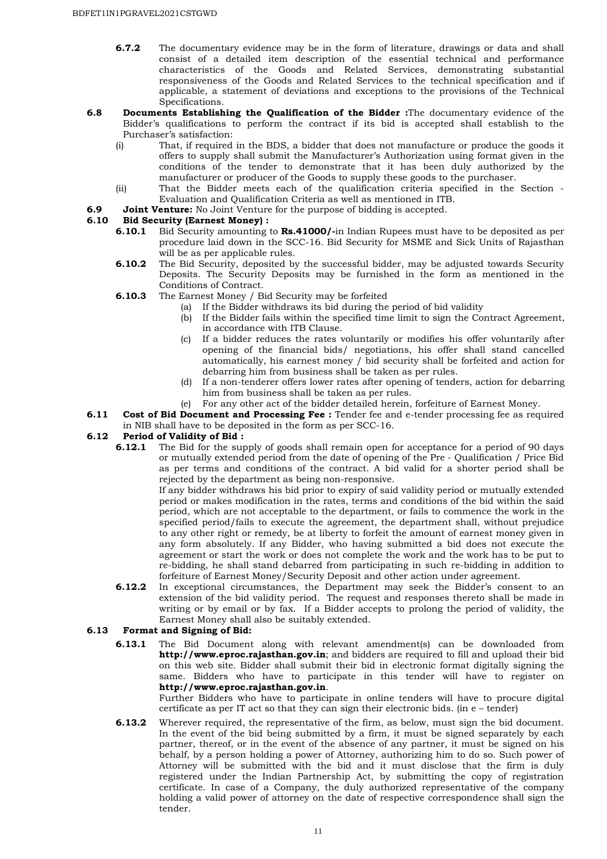- **6.7.2** The documentary evidence may be in the form of literature, drawings or data and shall consist of a detailed item description of the essential technical and performance characteristics of the Goods and Related Services, demonstrating substantial responsiveness of the Goods and Related Services to the technical specification and if applicable, a statement of deviations and exceptions to the provisions of the Technical Specifications.
- **6.8 Documents Establishing the Qualification of the Bidder :**The documentary evidence of the Bidder's qualifications to perform the contract if its bid is accepted shall establish to the Purchaser's satisfaction:
	- (i) That, if required in the BDS, a bidder that does not manufacture or produce the goods it offers to supply shall submit the Manufacturer's Authorization using format given in the conditions of the tender to demonstrate that it has been duly authorized by the manufacturer or producer of the Goods to supply these goods to the purchaser.
	- (ii) That the Bidder meets each of the qualification criteria specified in the Section Evaluation and Qualification Criteria as well as mentioned in ITB.
- **6.9 Joint Venture:** No Joint Venture for the purpose of bidding is accepted.

# **6.10 Bid Security (Earnest Money) :<br><b>6.10.1** Bid Security amounting

- **6.10.1** Bid Security amounting to **Rs.41000/-**in Indian Rupees must have to be deposited as per procedure laid down in the SCC-16. Bid Security for MSME and Sick Units of Rajasthan will be as per applicable rules.
- **6.10.2** The Bid Security, deposited by the successful bidder, may be adjusted towards Security Deposits. The Security Deposits may be furnished in the form as mentioned in the Conditions of Contract.
- **6.10.3** The Earnest Money / Bid Security may be forfeited
	- (a) If the Bidder withdraws its bid during the period of bid validity
	- (b) If the Bidder fails within the specified time limit to sign the Contract Agreement, in accordance with ITB Clause.
	- (c) If a bidder reduces the rates voluntarily or modifies his offer voluntarily after opening of the financial bids/ negotiations, his offer shall stand cancelled automatically, his earnest money / bid security shall be forfeited and action for debarring him from business shall be taken as per rules.
	- (d) If a non-tenderer offers lower rates after opening of tenders, action for debarring him from business shall be taken as per rules.
	- (e) For any other act of the bidder detailed herein, forfeiture of Earnest Money.
- **6.11 Cost of Bid Document and Processing Fee :** Tender fee and e-tender processing fee as required in NIB shall have to be deposited in the form as per SCC-16.

# **6.12 Period of Validity of Bid :**<br>**6.12.1** The Bid for the sur

**6.12.1** The Bid for the supply of goods shall remain open for acceptance for a period of 90 days or mutually extended period from the date of opening of the Pre - Qualification / Price Bid as per terms and conditions of the contract. A bid valid for a shorter period shall be rejected by the department as being non-responsive.

If any bidder withdraws his bid prior to expiry of said validity period or mutually extended period or makes modification in the rates, terms and conditions of the bid within the said period, which are not acceptable to the department, or fails to commence the work in the specified period/fails to execute the agreement, the department shall, without prejudice to any other right or remedy, be at liberty to forfeit the amount of earnest money given in any form absolutely. If any Bidder, who having submitted a bid does not execute the agreement or start the work or does not complete the work and the work has to be put to re-bidding, he shall stand debarred from participating in such re-bidding in addition to forfeiture of Earnest Money/Security Deposit and other action under agreement.

**6.12.2** In exceptional circumstances, the Department may seek the Bidder's consent to an extension of the bid validity period. The request and responses thereto shall be made in writing or by email or by fax. If a Bidder accepts to prolong the period of validity, the Earnest Money shall also be suitably extended.

#### **6.13 Format and Signing of Bid:**

**6.13.1** The Bid Document along with relevant amendment(s) can be downloaded from **http://www.eproc.rajasthan.gov.in**; and bidders are required to fill and upload their bid on this web site. Bidder shall submit their bid in electronic format digitally signing the same. Bidders who have to participate in this tender will have to register on **http://www.eproc.rajasthan.gov.in**.

Further Bidders who have to participate in online tenders will have to procure digital certificate as per IT act so that they can sign their electronic bids. (in e – tender)

**6.13.2** Wherever required, the representative of the firm, as below, must sign the bid document. In the event of the bid being submitted by a firm, it must be signed separately by each partner, thereof, or in the event of the absence of any partner, it must be signed on his behalf, by a person holding a power of Attorney, authorizing him to do so. Such power of Attorney will be submitted with the bid and it must disclose that the firm is duly registered under the Indian Partnership Act, by submitting the copy of registration certificate. In case of a Company, the duly authorized representative of the company holding a valid power of attorney on the date of respective correspondence shall sign the tender.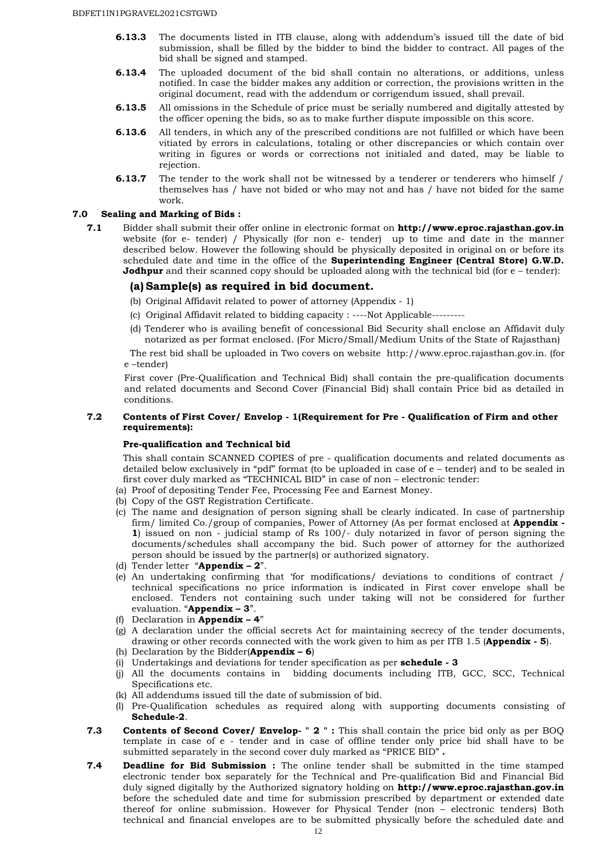- **6.13.3** The documents listed in ITB clause, along with addendum's issued till the date of bid submission, shall be filled by the bidder to bind the bidder to contract. All pages of the bid shall be signed and stamped.
- **6.13.4** The uploaded document of the bid shall contain no alterations, or additions, unless notified. In case the bidder makes any addition or correction, the provisions written in the original document, read with the addendum or corrigendum issued, shall prevail.
- **6.13.5** All omissions in the Schedule of price must be serially numbered and digitally attested by the officer opening the bids, so as to make further dispute impossible on this score.
- **6.13.6** All tenders, in which any of the prescribed conditions are not fulfilled or which have been vitiated by errors in calculations, totaling or other discrepancies or which contain over writing in figures or words or corrections not initialed and dated, may be liable to rejection.
- **6.13.7** The tender to the work shall not be witnessed by a tenderer or tenderers who himself / themselves has / have not bided or who may not and has / have not bided for the same work.

#### **7.0 Sealing and Marking of Bids :**

**7.1** Bidder shall submit their offer online in electronic format on **http://www.eproc.rajasthan.gov.in** website (for e- tender) / Physically (for non e- tender) up to time and date in the manner described below. However the following should be physically deposited in original on or before its scheduled date and time in the office of the **Superintending Engineer (Central Store) G.W.D. Jodhpur** and their scanned copy should be uploaded along with the technical bid (for e – tender):

#### **(a) Sample(s) as required in bid document.**

- (b) Original Affidavit related to power of attorney (Appendix 1)
- (c) Original Affidavit related to bidding capacity : ----Not Applicable---------
- (d) Tenderer who is availing benefit of concessional Bid Security shall enclose an Affidavit duly notarized as per format enclosed. (For Micro/Small/Medium Units of the State of Rajasthan)

The rest bid shall be uploaded in Two covers on website http://www.eproc.rajasthan.gov.in. (for e –tender)

First cover (Pre-Qualification and Technical Bid) shall contain the pre-qualification documents and related documents and Second Cover (Financial Bid) shall contain Price bid as detailed in conditions.

#### **7.2 Contents of First Cover/ Envelop - 1(Requirement for Pre - Qualification of Firm and other requirements):**

#### **Pre-qualification and Technical bid**

This shall contain SCANNED COPIES of pre - qualification documents and related documents as detailed below exclusively in "pdf" format (to be uploaded in case of e – tender) and to be sealed in first cover duly marked as "TECHNICAL BID" in case of non – electronic tender:

- (a) Proof of depositing Tender Fee, Processing Fee and Earnest Money.
- (b) Copy of the GST Registration Certificate.
- (c) The name and designation of person signing shall be clearly indicated. In case of partnership firm/ limited Co./group of companies, Power of Attorney (As per format enclosed at **Appendix - 1**) issued on non - judicial stamp of Rs 100/- duly notarized in favor of person signing the documents/schedules shall accompany the bid. Such power of attorney for the authorized person should be issued by the partner(s) or authorized signatory.
- (d) Tender letter "**Appendix 2**".
- (e) An undertaking confirming that 'for modifications/ deviations to conditions of contract / technical specifications no price information is indicated in First cover envelope shall be enclosed. Tenders not containing such under taking will not be considered for further evaluation. "**Appendix – 3**".
- (f) Declaration in **Appendix 4**"
- (g) A declaration under the official secrets Act for maintaining secrecy of the tender documents, drawing or other records connected with the work given to him as per ITB 1.5 (**Appendix - 5**).
- (h) Declaration by the Bidder(**Appendix 6**)
- (i) Undertakings and deviations for tender specification as per **schedule 3**
- (j) All the documents contains in bidding documents including ITB, GCC, SCC, Technical Specifications etc.
- (k) All addendums issued till the date of submission of bid.
- (l) Pre-Qualification schedules as required along with supporting documents consisting of **Schedule-2**.
- **7.3 Contents of Second Cover/ Envelop- "2":** This shall contain the price bid only as per BOQ template in case of e - tender and in case of offline tender only price bid shall have to be submitted separately in the second cover duly marked as "PRICE BID" **.**
- **7.4 Deadline for Bid Submission :** The online tender shall be submitted in the time stamped electronic tender box separately for the Technical and Pre-qualification Bid and Financial Bid duly signed digitally by the Authorized signatory holding on **http://www.eproc.rajasthan.gov.in** before the scheduled date and time for submission prescribed by department or extended date thereof for online submission. However for Physical Tender (non – electronic tenders) Both technical and financial envelopes are to be submitted physically before the scheduled date and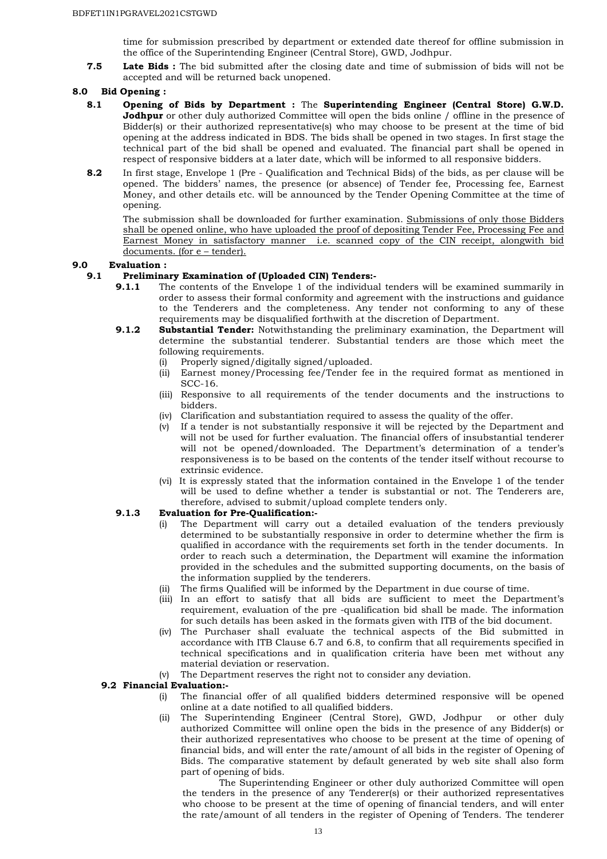time for submission prescribed by department or extended date thereof for offline submission in the office of the Superintending Engineer (Central Store), GWD, Jodhpur.

**7.5 Late Bids :** The bid submitted after the closing date and time of submission of bids will not be accepted and will be returned back unopened.

#### **8.0 Bid Opening :**

- **8.1 Opening of Bids by Department :** The **Superintending Engineer (Central Store) G.W.D. Jodhpur** or other duly authorized Committee will open the bids online / offline in the presence of Bidder(s) or their authorized representative(s) who may choose to be present at the time of bid opening at the address indicated in BDS. The bids shall be opened in two stages. In first stage the technical part of the bid shall be opened and evaluated. The financial part shall be opened in respect of responsive bidders at a later date, which will be informed to all responsive bidders.
- **8.2** In first stage, Envelope 1 (Pre Qualification and Technical Bids) of the bids, as per clause will be opened. The bidders' names, the presence (or absence) of Tender fee, Processing fee, Earnest Money, and other details etc. will be announced by the Tender Opening Committee at the time of opening.

The submission shall be downloaded for further examination. Submissions of only those Bidders shall be opened online, who have uploaded the proof of depositing Tender Fee, Processing Fee and Earnest Money in satisfactory manner i.e. scanned copy of the CIN receipt, alongwith bid documents. (for e – tender).

#### **9.0 Evaluation :**

#### **9.1 Preliminary Examination of (Uploaded CIN) Tenders:-**

- **9.1.1** The contents of the Envelope 1 of the individual tenders will be examined summarily in order to assess their formal conformity and agreement with the instructions and guidance to the Tenderers and the completeness. Any tender not conforming to any of these requirements may be disqualified forthwith at the discretion of Department.
- **9.1.2 Substantial Tender:** Notwithstanding the preliminary examination, the Department will determine the substantial tenderer. Substantial tenders are those which meet the following requirements.
	- (i) Properly signed/digitally signed/uploaded.
	- (ii) Earnest money/Processing fee/Tender fee in the required format as mentioned in SCC-16.
	- (iii) Responsive to all requirements of the tender documents and the instructions to bidders.
	- (iv) Clarification and substantiation required to assess the quality of the offer.
	- (v) If a tender is not substantially responsive it will be rejected by the Department and will not be used for further evaluation. The financial offers of insubstantial tenderer will not be opened/downloaded. The Department's determination of a tender's responsiveness is to be based on the contents of the tender itself without recourse to extrinsic evidence.
	- (vi) It is expressly stated that the information contained in the Envelope 1 of the tender will be used to define whether a tender is substantial or not. The Tenderers are, therefore, advised to submit/upload complete tenders only.

#### **9.1.3 Evaluation for Pre-Qualification:-**

- The Department will carry out a detailed evaluation of the tenders previously determined to be substantially responsive in order to determine whether the firm is qualified in accordance with the requirements set forth in the tender documents. In order to reach such a determination, the Department will examine the information provided in the schedules and the submitted supporting documents, on the basis of the information supplied by the tenderers.
- (ii) The firms Qualified will be informed by the Department in due course of time.
- (iii) In an effort to satisfy that all bids are sufficient to meet the Department's requirement, evaluation of the pre -qualification bid shall be made. The information for such details has been asked in the formats given with ITB of the bid document.
- (iv) The Purchaser shall evaluate the technical aspects of the Bid submitted in accordance with ITB Clause 6.7 and 6.8, to confirm that all requirements specified in technical specifications and in qualification criteria have been met without any material deviation or reservation.
- (v) The Department reserves the right not to consider any deviation.

#### **9.2 Financial Evaluation:-**

- (i) The financial offer of all qualified bidders determined responsive will be opened online at a date notified to all qualified bidders.
- (ii) The Superintending Engineer (Central Store), GWD, Jodhpur or other duly authorized Committee will online open the bids in the presence of any Bidder(s) or their authorized representatives who choose to be present at the time of opening of financial bids, and will enter the rate/amount of all bids in the register of Opening of Bids. The comparative statement by default generated by web site shall also form part of opening of bids.

The Superintending Engineer or other duly authorized Committee will open the tenders in the presence of any Tenderer(s) or their authorized representatives who choose to be present at the time of opening of financial tenders, and will enter the rate/amount of all tenders in the register of Opening of Tenders. The tenderer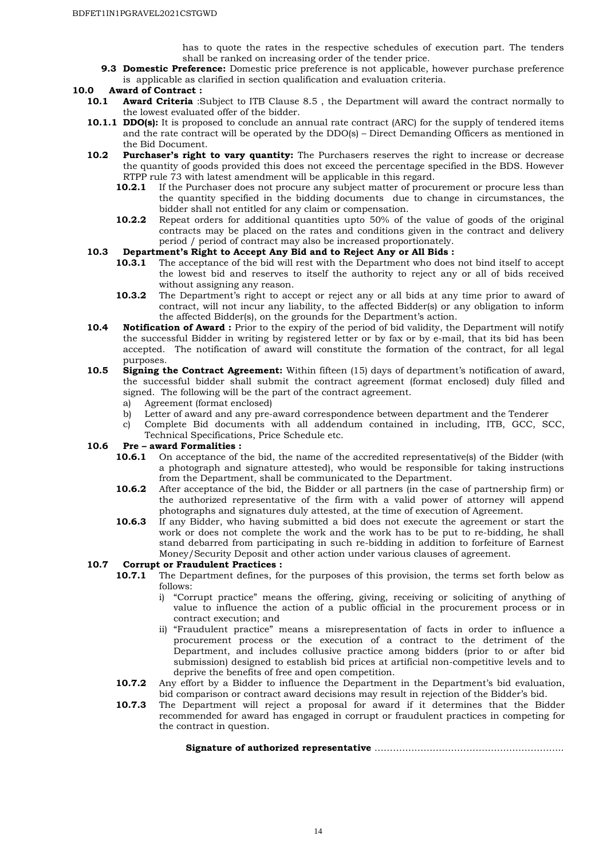has to quote the rates in the respective schedules of execution part. The tenders shall be ranked on increasing order of the tender price.

**9.3 Domestic Preference:** Domestic price preference is not applicable, however purchase preference is applicable as clarified in section qualification and evaluation criteria.

#### **10.0 Award of Contract :**

- **10.1 Award Criteria** :Subject to ITB Clause 8.5 , the Department will award the contract normally to the lowest evaluated offer of the bidder.
- **10.1.1 DDO(s):** It is proposed to conclude an annual rate contract (ARC) for the supply of tendered items and the rate contract will be operated by the DDO(s) – Direct Demanding Officers as mentioned in the Bid Document.
- **10.2 Purchaser's right to vary quantity:** The Purchasers reserves the right to increase or decrease the quantity of goods provided this does not exceed the percentage specified in the BDS. However RTPP rule 73 with latest amendment will be applicable in this regard.
	- **10.2.1** If the Purchaser does not procure any subject matter of procurement or procure less than the quantity specified in the bidding documents due to change in circumstances, the bidder shall not entitled for any claim or compensation.
	- **10.2.2** Repeat orders for additional quantities upto 50% of the value of goods of the original contracts may be placed on the rates and conditions given in the contract and delivery period / period of contract may also be increased proportionately.

#### **10.3 Department's Right to Accept Any Bid and to Reject Any or All Bids :**

- **10.3.1** The acceptance of the bid will rest with the Department who does not bind itself to accept the lowest bid and reserves to itself the authority to reject any or all of bids received without assigning any reason.
- **10.3.2** The Department's right to accept or reject any or all bids at any time prior to award of contract, will not incur any liability, to the affected Bidder(s) or any obligation to inform the affected Bidder(s), on the grounds for the Department's action.
- **10.4 Notification of Award :** Prior to the expiry of the period of bid validity, the Department will notify the successful Bidder in writing by registered letter or by fax or by e-mail, that its bid has been accepted. The notification of award will constitute the formation of the contract, for all legal purposes.
- **10.5 Signing the Contract Agreement:** Within fifteen (15) days of department's notification of award, the successful bidder shall submit the contract agreement (format enclosed) duly filled and signed. The following will be the part of the contract agreement.
	- a) Agreement (format enclosed)
	- b) Letter of award and any pre-award correspondence between department and the Tenderer
	- c) Complete Bid documents with all addendum contained in including, ITB, GCC, SCC, Technical Specifications, Price Schedule etc.

#### **10.6 Pre – award Formalities :**

- **10.6.1** On acceptance of the bid, the name of the accredited representative(s) of the Bidder (with a photograph and signature attested), who would be responsible for taking instructions from the Department, shall be communicated to the Department.
- **10.6.2** After acceptance of the bid, the Bidder or all partners (in the case of partnership firm) or the authorized representative of the firm with a valid power of attorney will append photographs and signatures duly attested, at the time of execution of Agreement.
- **10.6.3** If any Bidder, who having submitted a bid does not execute the agreement or start the work or does not complete the work and the work has to be put to re-bidding, he shall stand debarred from participating in such re-bidding in addition to forfeiture of Earnest Money/Security Deposit and other action under various clauses of agreement.

# **10.7 Corrupt or Fraudulent Practices :<br>10.7.1** The Department defines, fo

- **10.7.1** The Department defines, for the purposes of this provision, the terms set forth below as follows:
	- i) "Corrupt practice" means the offering, giving, receiving or soliciting of anything of value to influence the action of a public official in the procurement process or in contract execution; and
	- ii) "Fraudulent practice" means a misrepresentation of facts in order to influence a procurement process or the execution of a contract to the detriment of the Department, and includes collusive practice among bidders (prior to or after bid submission) designed to establish bid prices at artificial non-competitive levels and to deprive the benefits of free and open competition.
- **10.7.2** Any effort by a Bidder to influence the Department in the Department's bid evaluation, bid comparison or contract award decisions may result in rejection of the Bidder's bid.
- **10.7.3** The Department will reject a proposal for award if it determines that the Bidder recommended for award has engaged in corrupt or fraudulent practices in competing for the contract in question.

**Signature of authorized representative** ……………………………………………………..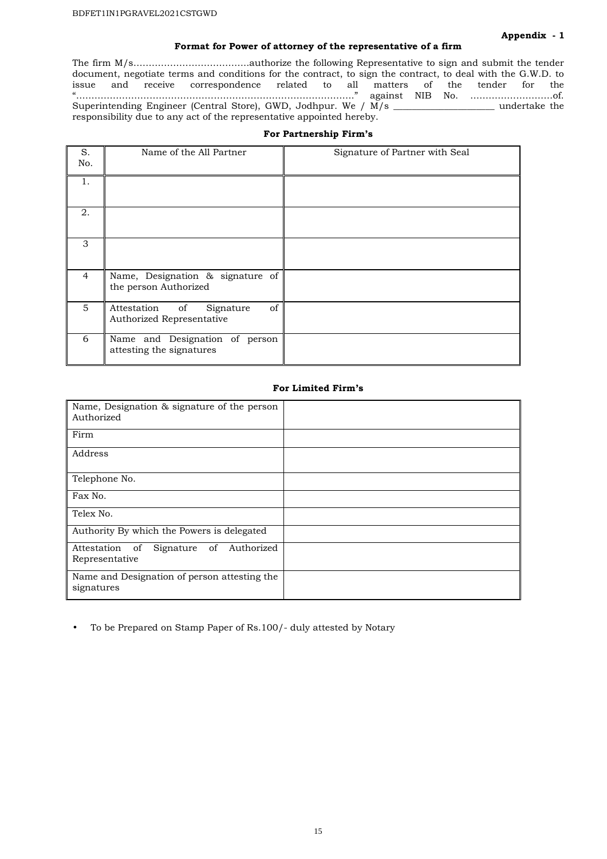#### **Format for Power of attorney of the representative of a firm**

The firm M/s………………………………..authorize the following Representative to sign and submit the tender document, negotiate terms and conditions for the contract, to sign the contract, to deal with the G.W.D. to issue and receive correspondence related to all matters of the tender for the "………………………………………………………………………………." against NIB No. ………………………of. Superintending Engineer (Central Store), GWD, Jodhpur. We / M/s \_\_\_\_\_\_\_\_\_\_\_\_\_\_\_\_\_\_\_\_\_\_ undertake the responsibility due to any act of the representative appointed hereby.

#### **For Partnership Firm's**

| S.<br>No.      | Name of the All Partner                                        | Signature of Partner with Seal |
|----------------|----------------------------------------------------------------|--------------------------------|
| 1.             |                                                                |                                |
| 2.             |                                                                |                                |
| 3              |                                                                |                                |
| $\overline{4}$ | Name, Designation & signature of<br>the person Authorized      |                                |
| 5              | Attestation of<br>of<br>Signature<br>Authorized Representative |                                |
| 6              | Name and Designation of person<br>attesting the signatures     |                                |

#### **For Limited Firm's**

| Name, Designation & signature of the person<br>Authorized      |  |
|----------------------------------------------------------------|--|
| Firm                                                           |  |
| Address                                                        |  |
| Telephone No.                                                  |  |
| Fax No.                                                        |  |
| Telex No.                                                      |  |
| Authority By which the Powers is delegated                     |  |
| Authorized<br>Attestation of<br>Signature of<br>Representative |  |
| Name and Designation of person attesting the<br>signatures     |  |

• To be Prepared on Stamp Paper of Rs.100/- duly attested by Notary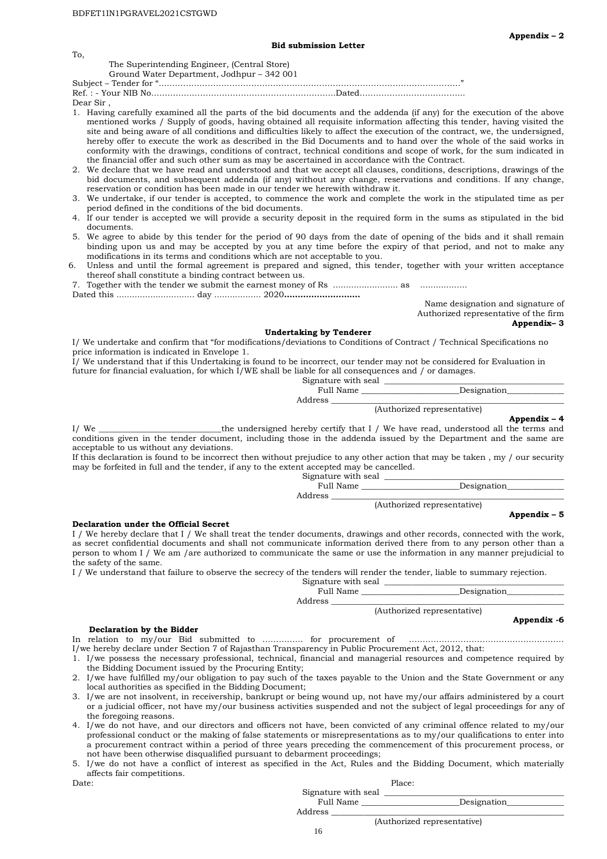#### The Superintending Engineer, (Central Store)

Ground Water Department, Jodhpur – 342 001

Subject – Tender for "…………………………………………………………………………………………………" Ref. : - Your NIB No…………………………………………………………..Dated………………………………...

Dear Sir ,

To,

- 1. Having carefully examined all the parts of the bid documents and the addenda (if any) for the execution of the above mentioned works / Supply of goods, having obtained all requisite information affecting this tender, having visited the site and being aware of all conditions and difficulties likely to affect the execution of the contract, we, the undersigned, hereby offer to execute the work as described in the Bid Documents and to hand over the whole of the said works in conformity with the drawings, conditions of contract, technical conditions and scope of work, for the sum indicated in the financial offer and such other sum as may be ascertained in accordance with the Contract.
- 2. We declare that we have read and understood and that we accept all clauses, conditions, descriptions, drawings of the bid documents, and subsequent addenda (if any) without any change, reservations and conditions. If any change, reservation or condition has been made in our tender we herewith withdraw it.
- 3. We undertake, if our tender is accepted, to commence the work and complete the work in the stipulated time as per period defined in the conditions of the bid documents.
- 4. If our tender is accepted we will provide a security deposit in the required form in the sums as stipulated in the bid documents.
- 5. We agree to abide by this tender for the period of 90 days from the date of opening of the bids and it shall remain binding upon us and may be accepted by you at any time before the expiry of that period, and not to make any modifications in its terms and conditions which are not acceptable to you.
- Unless and until the formal agreement is prepared and signed, this tender, together with your written acceptance thereof shall constitute a binding contract between us.

7. Together with the tender we submit the earnest money of Rs ......................... as .................. Dated this .............................. day .................. 2020**……………………….**

Name designation and signature of Authorized representative of the firm **Appendix– 3** 

#### **Undertaking by Tenderer**

I/ We undertake and confirm that "for modifications/deviations to Conditions of Contract / Technical Specifications no price information is indicated in Envelope 1.

I/ We understand that if this Undertaking is found to be incorrect, our tender may not be considered for Evaluation in future for financial evaluation, for which I/WE shall be liable for all consequences and / or damages.

| Signature with seal |                             |
|---------------------|-----------------------------|
| Full Name           | Designation                 |
| Address             |                             |
|                     | (Authorized representative) |
|                     | Appendix $-4$               |

I/ We \_\_\_\_\_\_\_\_\_\_\_\_\_\_\_\_\_\_\_\_\_\_\_\_\_\_\_\_\_\_the undersigned hereby certify that I / We have read, understood all the terms and conditions given in the tender document, including those in the addenda issued by the Department and the same are acceptable to us without any deviations.

If this declaration is found to be incorrect then without prejudice to any other action that may be taken, my  $/$  our security may be forfeited in full and the tender, if any to the extent accepted may be cancelled.

| Signature with seal |             |
|---------------------|-------------|
| Full Name           | Designation |
| Address             |             |

(Authorized representative)

#### **Appendix – 5**

#### **Declaration under the Official Secret**

I / We hereby declare that I / We shall treat the tender documents, drawings and other records, connected with the work, as secret confidential documents and shall not communicate information derived there from to any person other than a person to whom I / We am /are authorized to communicate the same or use the information in any manner prejudicial to the safety of the same.

I / We understand that failure to observe the secrecy of the tenders will render the tender, liable to summary rejection.

| Signature with seal |                             |
|---------------------|-----------------------------|
| Full Name           | Designation                 |
| Address             |                             |
|                     | (Authorized representative) |
|                     | Appendix -6                 |

#### **Declaration by the Bidder**

In relation to my/our Bid submitted to …………… for procurement of ……………………………………………

I/we hereby declare under Section 7 of Rajasthan Transparency in Public Procurement Act, 2012, that: 1. I/we possess the necessary professional, technical, financial and managerial resources and competence required by

- the Bidding Document issued by the Procuring Entity;
- 2. I/we have fulfilled my/our obligation to pay such of the taxes payable to the Union and the State Government or any local authorities as specified in the Bidding Document;
- 3. I/we are not insolvent, in receivership, bankrupt or being wound up, not have my/our affairs administered by a court or a judicial officer, not have my/our business activities suspended and not the subject of legal proceedings for any of the foregoing reasons.
- 4. I/we do not have, and our directors and officers not have, been convicted of any criminal offence related to my/our professional conduct or the making of false statements or misrepresentations as to my/our qualifications to enter into a procurement contract within a period of three years preceding the commencement of this procurement process, or not have been otherwise disqualified pursuant to debarment proceedings;

5. I/we do not have a conflict of interest as specified in the Act, Rules and the Bidding Document, which materially affects fair competitions.

Date: Place: Place: Place: Place: Place: Place: Place: Place: Place: Place: Place: Place: Place: Place: Place: Place: Place: Place: Place: Place: Place: Place: Place: Place: Place: Place: Place: Place: Place: Place: Place:

Signature with seal \_\_\_\_\_\_\_\_\_\_\_\_\_\_\_\_\_\_\_\_\_\_\_\_\_\_\_\_\_\_\_\_\_\_\_\_\_\_\_\_\_\_\_\_

(Authorized representative)

Designation

Address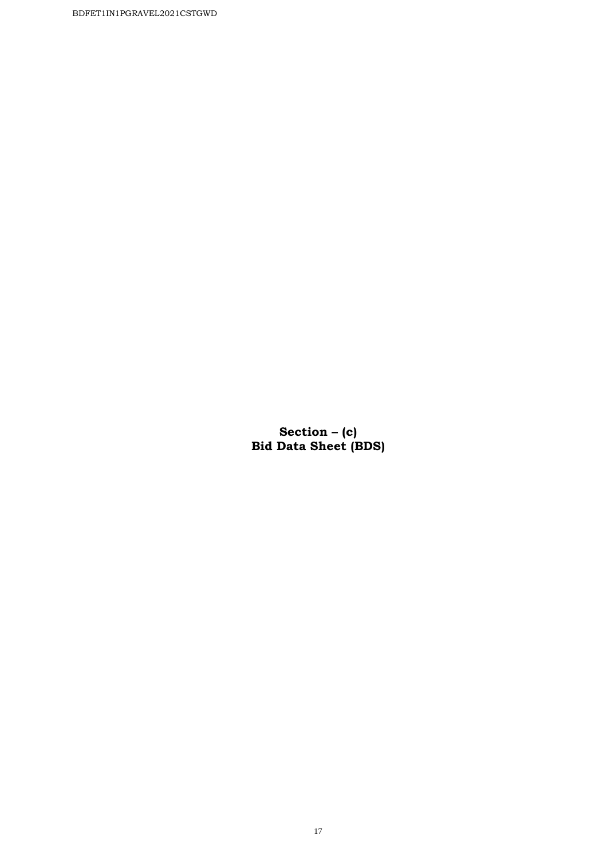BDFET1IN1PGRAVEL2021CSTGWD

**Section – (c) Bid Data Sheet (BDS)**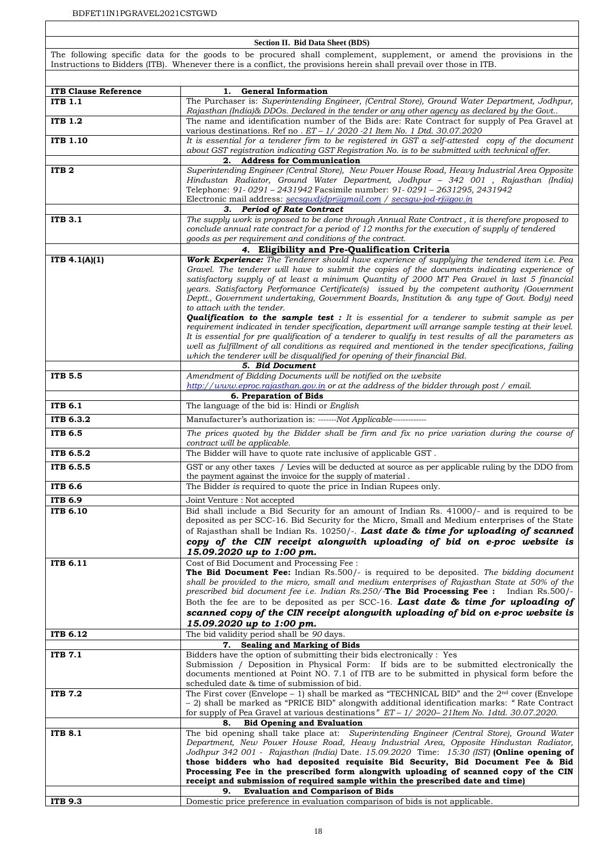#### **Section II. Bid Data Sheet (BDS)**

The following specific data for the goods to be procured shall complement, supplement, or amend the provisions in the Instructions to Bidders (ITB). Whenever there is a conflict, the provisions herein shall prevail over those in ITB.

| <b>ITB Clause Reference</b> | <b>General Information</b><br>1.                                                                                                                                                                 |
|-----------------------------|--------------------------------------------------------------------------------------------------------------------------------------------------------------------------------------------------|
| <b>ITB 1.1</b>              | The Purchaser is: Superintending Engineer, (Central Store), Ground Water Department, Jodhpur,<br>Rajasthan (India)& DDOs. Declared in the tender or any other agency as declared by the Govt     |
| <b>ITB 1.2</b>              | The name and identification number of the Bids are: Rate Contract for supply of Pea Gravel at<br>various destinations. Ref no . $ET - 1/2020 - 21$ Item No. 1 Dtd. 30.07.2020                    |
| <b>ITB 1.10</b>             | It is essential for a tenderer firm to be registered in GST a self-attested copy of the document                                                                                                 |
|                             | about GST registration indicating GST Registration No. is to be submitted with technical offer.                                                                                                  |
|                             | 2. Address for Communication                                                                                                                                                                     |
| ITB <sub>2</sub>            | Superintending Engineer (Central Store), New Power House Road, Heavy Industrial Area Opposite                                                                                                    |
|                             | Hindustan Radiator, Ground Water Department, Jodhpur - 342 001 , Rajasthan (India)                                                                                                               |
|                             | Telephone: 91-0291 - 2431942 Facsimile number: 91-0291 - 2631295, 2431942                                                                                                                        |
|                             | Electronic mail address: secsqwdjdpr@gmail.com / secsqw-jod-rj@gov.in                                                                                                                            |
|                             | <b>Period of Rate Contract</b><br>з.                                                                                                                                                             |
| <b>ITB 3.1</b>              | The supply work is proposed to be done through Annual Rate Contract, it is therefore proposed to                                                                                                 |
|                             | conclude annual rate contract for a period of 12 months for the execution of supply of tendered<br>goods as per requirement and conditions of the contract.                                      |
|                             | 4. Eligibility and Pre-Qualification Criteria                                                                                                                                                    |
| ITB $4.1(A)(1)$             | Work Experience: The Tenderer should have experience of supplying the tendered item i.e. Pea                                                                                                     |
|                             | Gravel. The tenderer will have to submit the copies of the documents indicating experience of                                                                                                    |
|                             | satisfactory supply of at least a minimum Quantity of 2000 MT Pea Gravel in last 5 financial                                                                                                     |
|                             | years. Satisfactory Performance Certificate(s) issued by the competent authority (Government                                                                                                     |
|                             | Deptt., Government undertaking, Government Boards, Institution & any type of Govt. Body) need                                                                                                    |
|                             | to attach with the tender.                                                                                                                                                                       |
|                             | <b>Qualification to the sample test :</b> It is essential for a tenderer to submit sample as per                                                                                                 |
|                             | requirement indicated in tender specification, department will arrange sample testing at their level.                                                                                            |
|                             | It is essential for pre qualification of a tenderer to qualify in test results of all the parameters as                                                                                          |
|                             | well as fulfillment of all conditions as required and mentioned in the tender specifications, failing                                                                                            |
|                             | which the tenderer will be disqualified for opening of their financial Bid.<br>5. Bid Document                                                                                                   |
| <b>ITB 5.5</b>              | Amendment of Bidding Documents will be notified on the website                                                                                                                                   |
|                             | http://www.eproc.rajasthan.gov.in or at the address of the bidder through post / email.                                                                                                          |
|                             | 6. Preparation of Bids                                                                                                                                                                           |
| <b>ITB 6.1</b>              | The language of the bid is: Hindi or English                                                                                                                                                     |
| ITB 6.3.2                   | Manufacturer's authorization is: ------Not Applicable-------------                                                                                                                               |
| <b>ITB 6.5</b>              | The prices quoted by the Bidder shall be firm and fix no price variation during the course of                                                                                                    |
|                             | contract will be applicable.                                                                                                                                                                     |
| ITB 6.5.2                   | The Bidder will have to quote rate inclusive of applicable GST.                                                                                                                                  |
| ITB 6.5.5                   | GST or any other taxes / Levies will be deducted at source as per applicable ruling by the DDO from<br>the payment against the invoice for the supply of material.                               |
| ITB 6.6                     | The Bidder is required to quote the price in Indian Rupees only.                                                                                                                                 |
| ITB 6.9                     | Joint Venture : Not accepted                                                                                                                                                                     |
| <b>ITB 6.10</b>             | Bid shall include a Bid Security for an amount of Indian Rs. 41000/- and is required to be                                                                                                       |
|                             | deposited as per SCC-16. Bid Security for the Micro, Small and Medium enterprises of the State                                                                                                   |
|                             | of Rajasthan shall be Indian Rs. 10250/-. Last date & time for uploading of scanned                                                                                                              |
|                             | copy of the CIN receipt alongwith uploading of bid on e-proc website is                                                                                                                          |
|                             | 15.09.2020 up to 1:00 pm.                                                                                                                                                                        |
| ITB 6.11                    | Cost of Bid Document and Processing Fee :<br><b>The Bid Document Fee:</b> Indian Rs.500/- is required to be deposited. The bidding document                                                      |
|                             | shall be provided to the micro, small and medium enterprises of Rajasthan State at 50% of the                                                                                                    |
|                             | prescribed bid document fee i.e. Indian Rs.250/-The Bid Processing Fee: Indian Rs.500/-                                                                                                          |
|                             | Both the fee are to be deposited as per SCC-16. Last date & time for uploading of                                                                                                                |
|                             | scanned copy of the CIN receipt alongwith uploading of bid on e-proc website is                                                                                                                  |
|                             | 15.09.2020 up to 1:00 pm.                                                                                                                                                                        |
| ITB 6.12                    | The bid validity period shall be 90 days.                                                                                                                                                        |
|                             | 7. Sealing and Marking of Bids                                                                                                                                                                   |
| <b>ITB 7.1</b>              | Bidders have the option of submitting their bids electronically : Yes                                                                                                                            |
|                             | Submission / Deposition in Physical Form: If bids are to be submitted electronically the                                                                                                         |
|                             | documents mentioned at Point NO. 7.1 of ITB are to be submitted in physical form before the                                                                                                      |
|                             | scheduled date & time of submission of bid.                                                                                                                                                      |
| <b>ITB 7.2</b>              | The First cover (Envelope – 1) shall be marked as "TECHNICAL BID" and the $2nd$ cover (Envelope                                                                                                  |
|                             | - 2) shall be marked as "PRICE BID" alongwith additional identification marks: "Rate Contract<br>for supply of Pea Gravel at various destinations" $ET - 1/2020 - 21$ Item No. 1dtd. 30.07.2020. |
|                             | <b>Bid Opening and Evaluation</b><br>8.                                                                                                                                                          |
| <b>ITB 8.1</b>              | The bid opening shall take place at: Superintending Engineer (Central Store), Ground Water                                                                                                       |
|                             | Department, New Power House Road, Heavy Industrial Area, Opposite Hindustan Radiator,                                                                                                            |
|                             | Jodhpur 342 001 - Rajasthan (India) Date. 15.09.2020 Time: 15:30 (IST) (Online opening of                                                                                                        |
|                             | those bidders who had deposited requisite Bid Security, Bid Document Fee & Bid                                                                                                                   |
|                             | Processing Fee in the prescribed form alongwith uploading of scanned copy of the CIN                                                                                                             |
|                             | receipt and submission of required sample within the prescribed date and time)<br><b>Evaluation and Comparison of Bids</b><br>9.                                                                 |
| <b>ITB 9.3</b>              | Domestic price preference in evaluation comparison of bids is not applicable.                                                                                                                    |
|                             |                                                                                                                                                                                                  |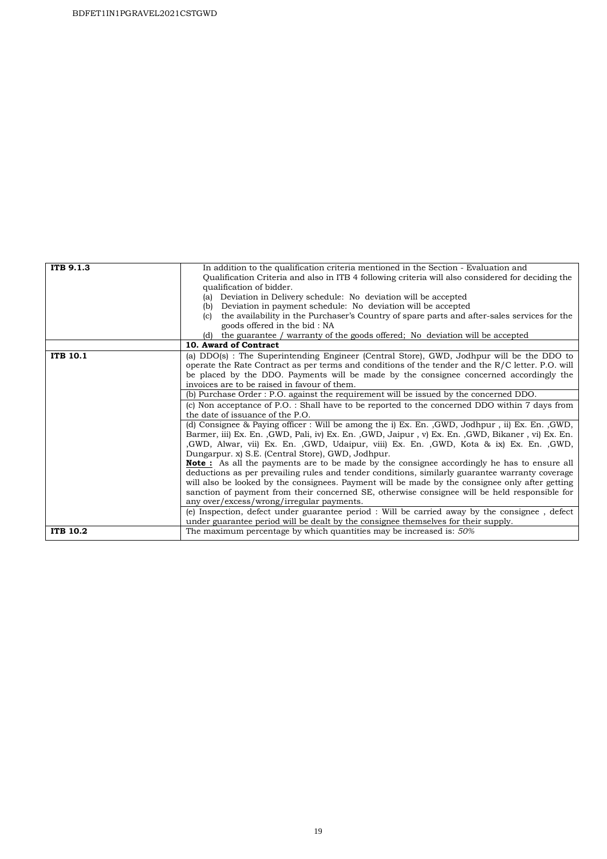| ITB 9.1.3       | In addition to the qualification criteria mentioned in the Section - Evaluation and<br>Qualification Criteria and also in ITB 4 following criteria will also considered for deciding the<br>qualification of bidder.<br>Deviation in Delivery schedule: No deviation will be accepted<br>(a)<br>Deviation in payment schedule: No deviation will be accepted<br>(b)                                                                                   |  |  |  |
|-----------------|-------------------------------------------------------------------------------------------------------------------------------------------------------------------------------------------------------------------------------------------------------------------------------------------------------------------------------------------------------------------------------------------------------------------------------------------------------|--|--|--|
|                 | the availability in the Purchaser's Country of spare parts and after-sales services for the<br>(c)<br>goods offered in the bid: NA                                                                                                                                                                                                                                                                                                                    |  |  |  |
|                 | the guarantee / warranty of the goods offered; No deviation will be accepted<br>(d)                                                                                                                                                                                                                                                                                                                                                                   |  |  |  |
|                 | 10. Award of Contract                                                                                                                                                                                                                                                                                                                                                                                                                                 |  |  |  |
| <b>ITB 10.1</b> | (a) DDO(s): The Superintending Engineer (Central Store), GWD, Jodhpur will be the DDO to<br>operate the Rate Contract as per terms and conditions of the tender and the $R/C$ letter. P.O. will<br>be placed by the DDO. Payments will be made by the consignee concerned accordingly the<br>invoices are to be raised in favour of them.                                                                                                             |  |  |  |
|                 | (b) Purchase Order : P.O. against the requirement will be issued by the concerned DDO.                                                                                                                                                                                                                                                                                                                                                                |  |  |  |
|                 | (c) Non acceptance of P.O. : Shall have to be reported to the concerned DDO within 7 days from<br>the date of issuance of the P.O.                                                                                                                                                                                                                                                                                                                    |  |  |  |
|                 | (d) Consignee & Paying officer: Will be among the i) Ex. En., GWD, Jodhpur, ii) Ex. En., GWD,<br>Barmer, iii) Ex. En. , GWD, Pali, iv) Ex. En. , GWD, Jaipur, v) Ex. En. , GWD, Bikaner, vi) Ex. En.<br>GWD, Alwar, vii) Ex. En. GWD, Udaipur, viii) Ex. En. GWD, Kota & ix) Ex. En. GWD,<br>Dungarpur. x) S.E. (Central Store), GWD, Jodhpur.                                                                                                        |  |  |  |
|                 | <b>Note:</b> As all the payments are to be made by the consignee accordingly he has to ensure all<br>deductions as per prevailing rules and tender conditions, similarly guarantee warranty coverage<br>will also be looked by the consignees. Payment will be made by the consignee only after getting<br>sanction of payment from their concerned SE, otherwise consignee will be held responsible for<br>any over/excess/wrong/irregular payments. |  |  |  |
|                 | (e) Inspection, defect under guarantee period : Will be carried away by the consignee, defect<br>under guarantee period will be dealt by the consignee themselves for their supply.                                                                                                                                                                                                                                                                   |  |  |  |
| <b>ITB 10.2</b> | The maximum percentage by which quantities may be increased is: 50%                                                                                                                                                                                                                                                                                                                                                                                   |  |  |  |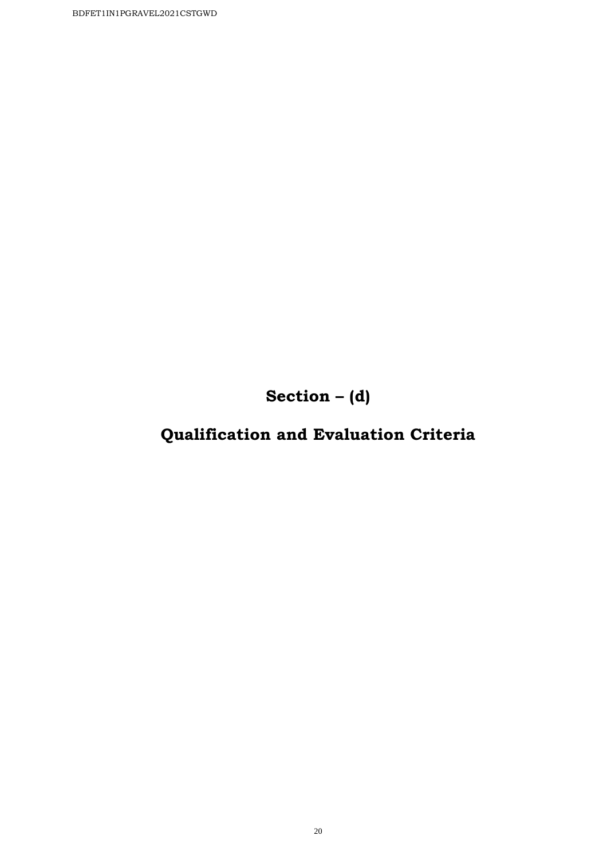**Section – (d)**

# **Qualification and Evaluation Criteria**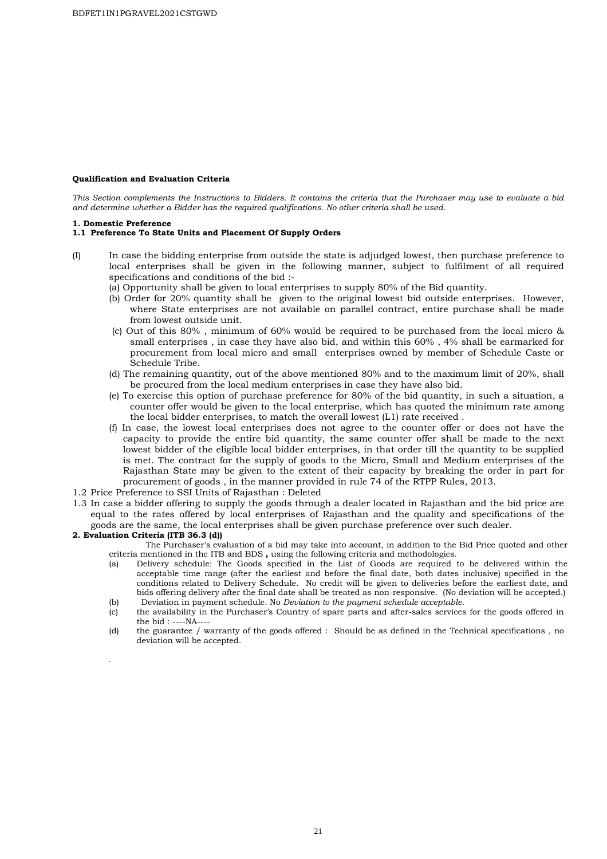#### **Qualification and Evaluation Criteria**

*This Section complements the Instructions to Bidders. It contains the criteria that the Purchaser may use to evaluate a bid and determine whether a Bidder has the required qualifications. No other criteria shall be used.* 

#### **1. Domestic Preference**

#### **1.1 Preference To State Units and Placement Of Supply Orders**

- (I) In case the bidding enterprise from outside the state is adjudged lowest, then purchase preference to local enterprises shall be given in the following manner, subject to fulfilment of all required specifications and conditions of the bid :-
	- (a) Opportunity shall be given to local enterprises to supply 80% of the Bid quantity.
	- (b) Order for 20% quantity shall be given to the original lowest bid outside enterprises. However, where State enterprises are not available on parallel contract, entire purchase shall be made from lowest outside unit.
	- (c) Out of this 80% , minimum of 60% would be required to be purchased from the local micro & small enterprises , in case they have also bid, and within this 60% , 4% shall be earmarked for procurement from local micro and small enterprises owned by member of Schedule Caste or Schedule Tribe.
	- (d) The remaining quantity, out of the above mentioned 80% and to the maximum limit of 20%, shall be procured from the local medium enterprises in case they have also bid.
	- (e) To exercise this option of purchase preference for 80% of the bid quantity, in such a situation, a counter offer would be given to the local enterprise, which has quoted the minimum rate among the local bidder enterprises, to match the overall lowest (L1) rate received .
	- (f) In case, the lowest local enterprises does not agree to the counter offer or does not have the capacity to provide the entire bid quantity, the same counter offer shall be made to the next lowest bidder of the eligible local bidder enterprises, in that order till the quantity to be supplied is met. The contract for the supply of goods to the Micro, Small and Medium enterprises of the Rajasthan State may be given to the extent of their capacity by breaking the order in part for procurement of goods , in the manner provided in rule 74 of the RTPP Rules, 2013.
- 1.2 Price Preference to SSI Units of Rajasthan : Deleted
- 1.3 In case a bidder offering to supply the goods through a dealer located in Rajasthan and the bid price are equal to the rates offered by local enterprises of Rajasthan and the quality and specifications of the goods are the same, the local enterprises shall be given purchase preference over such dealer.

#### **2. Evaluation Criteria (ITB 36.3 (d))**

- The Purchaser's evaluation of a bid may take into account, in addition to the Bid Price quoted and other criteria mentioned in the ITB and BDS **,** using the following criteria and methodologies.
- (a) Delivery schedule: The Goods specified in the List of Goods are required to be delivered within the acceptable time range (after the earliest and before the final date, both dates inclusive) specified in the conditions related to Delivery Schedule. No credit will be given to deliveries before the earliest date, and bids offering delivery after the final date shall be treated as non-responsive. (No deviation will be accepted.) (b) Deviation in payment schedule. No *Deviation to the payment schedule acceptable.*
- (c) the availability in the Purchaser's Country of spare parts and after-sales services for the goods offered in
	- the bid : ----NA----

.

(d) the guarantee / warranty of the goods offered : Should be as defined in the Technical specifications , no deviation will be accepted.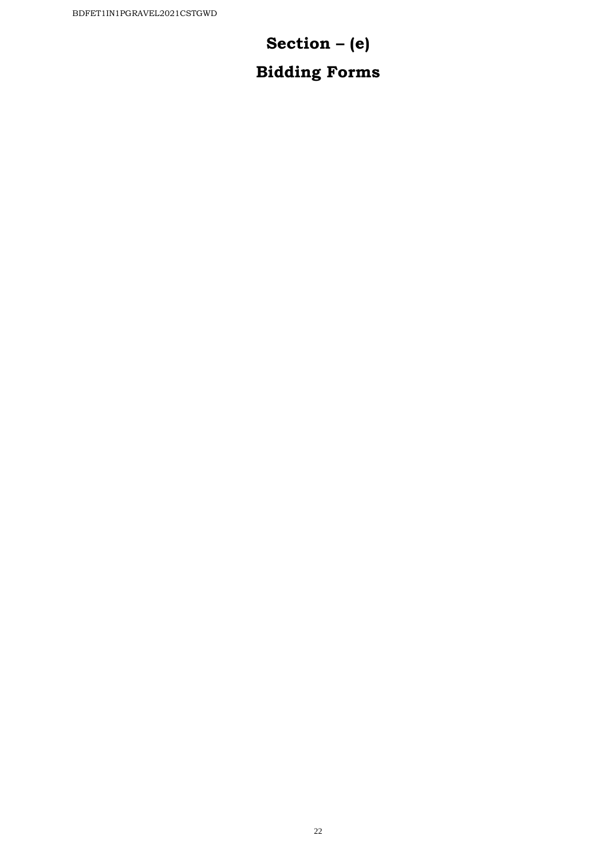# **Section – (e)**

# **Bidding Forms**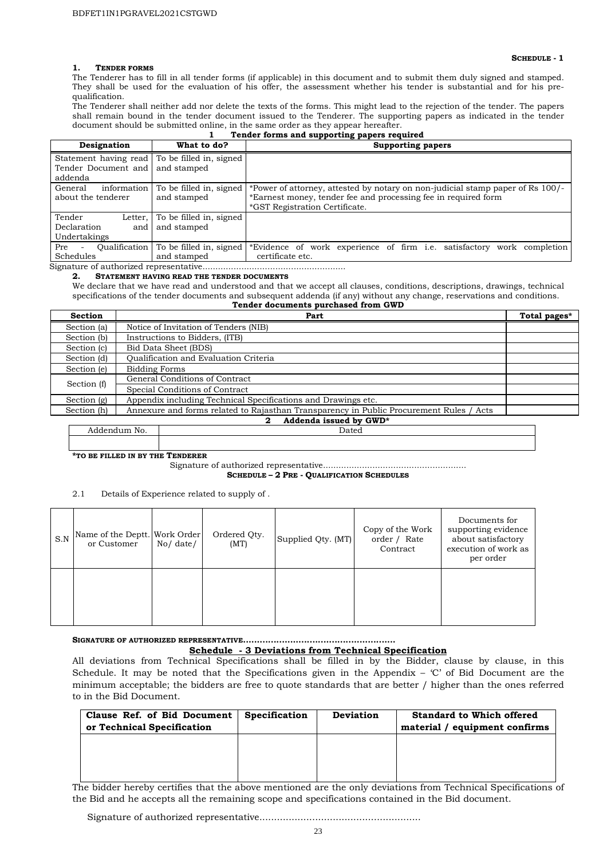#### **SCHEDULE - 1**

**1. TENDER FORMS** The Tenderer has to fill in all tender forms (if applicable) in this document and to submit them duly signed and stamped. They shall be used for the evaluation of his offer, the assessment whether his tender is substantial and for his prequalification.

The Tenderer shall neither add nor delete the texts of the forms. This might lead to the rejection of the tender. The papers shall remain bound in the tender document issued to the Tenderer. The supporting papers as indicated in the tender document should be submitted online, in the same order as they appear hereafter.<br>**Tender forms and supporting papers req** 

|  | Tender forms and supporting papers required |  |
|--|---------------------------------------------|--|

| Designation                                                                     | What to do?                            | <b>Supporting papers</b>                                                                                                                                                           |
|---------------------------------------------------------------------------------|----------------------------------------|------------------------------------------------------------------------------------------------------------------------------------------------------------------------------------|
| Statement having read To be filled in, signed<br>Tender Document and<br>addenda | and stamped                            |                                                                                                                                                                                    |
| General<br>information<br>about the tenderer                                    | To be filled in, signed<br>and stamped | *Power of attorney, attested by notary on non-judicial stamp paper of Rs 100/-<br>*Earnest money, tender fee and processing fee in required form<br>*GST Registration Certificate. |
| Tender<br>Letter.<br>Declaration<br>and<br>Undertakings                         | To be filled in, signed<br>and stamped |                                                                                                                                                                                    |
| Oualification<br>Pre<br>Schedules                                               | To be filled in, signed<br>and stamped | *Evidence of work experience of firm <i>i.e.</i> satisfactory<br>work completion<br>certificate etc.                                                                               |

### Signature of authorized representative.......................................................

**2. STATEMENT HAVING READ THE TENDER DOCUMENTS**

We declare that we have read and understood and that we accept all clauses, conditions, descriptions, drawings, technical specifications of the tender documents and subsequent addenda (if any) without any change, reservations and conditions. **Tender documents purchased from GWD** 

| <b>Section</b> | Part                                                                                    | Total pages* |
|----------------|-----------------------------------------------------------------------------------------|--------------|
| Section (a)    | Notice of Invitation of Tenders (NIB)                                                   |              |
| Section (b)    | Instructions to Bidders, (ITB)                                                          |              |
| Section (c)    | Bid Data Sheet (BDS)                                                                    |              |
| Section (d)    | <b>Oualification and Evaluation Criteria</b>                                            |              |
| Section (e)    | <b>Bidding Forms</b>                                                                    |              |
| Section (f)    | General Conditions of Contract                                                          |              |
|                | Special Conditions of Contract                                                          |              |
| Section (g)    | Appendix including Technical Specifications and Drawings etc.                           |              |
| Section (h)    | Annexure and forms related to Rajasthan Transparency in Public Procurement Rules / Acts |              |
|                | Addenda issued by GWD*<br>2                                                             |              |

Addendum No. 2008. Dated

**\*TO BE FILLED IN BY THE TENDERER**

Signature of authorized representative.......................................................

**SCHEDULE – 2 PRE - QUALIFICATION SCHEDULES**

2.1 Details of Experience related to supply of .

| S.N | Name of the Deptt. Work Order<br>or Customer | No / date / | Ordered Qty.<br>(MT) | Supplied Qty. (MT) | Copy of the Work<br>order / Rate<br>Contract | Documents for<br>supporting evidence<br>about satisfactory<br>execution of work as<br>per order |
|-----|----------------------------------------------|-------------|----------------------|--------------------|----------------------------------------------|-------------------------------------------------------------------------------------------------|
|     |                                              |             |                      |                    |                                              |                                                                                                 |

#### **SIGNATURE OF AUTHORIZED REPRESENTATIVE....................................................... Schedule - 3 Deviations from Technical Specification**

All deviations from Technical Specifications shall be filled in by the Bidder, clause by clause, in this Schedule. It may be noted that the Specifications given in the Appendix – 'C' of Bid Document are the minimum acceptable; the bidders are free to quote standards that are better / higher than the ones referred to in the Bid Document.

| Clause Ref. of Bid Document<br>or Technical Specification | <b>Specification</b> | <b>Deviation</b> | <b>Standard to Which offered</b><br>material / equipment confirms |
|-----------------------------------------------------------|----------------------|------------------|-------------------------------------------------------------------|
|                                                           |                      |                  |                                                                   |
|                                                           |                      |                  |                                                                   |

The bidder hereby certifies that the above mentioned are the only deviations from Technical Specifications of the Bid and he accepts all the remaining scope and specifications contained in the Bid document.

Signature of authorized representative.......................................................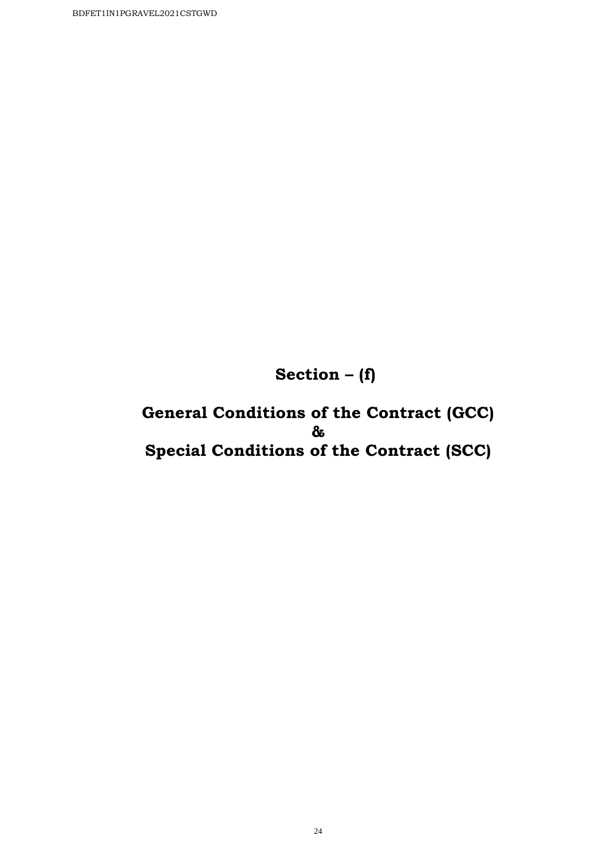**Section – (f)** 

**General Conditions of the Contract (GCC) & Special Conditions of the Contract (SCC)**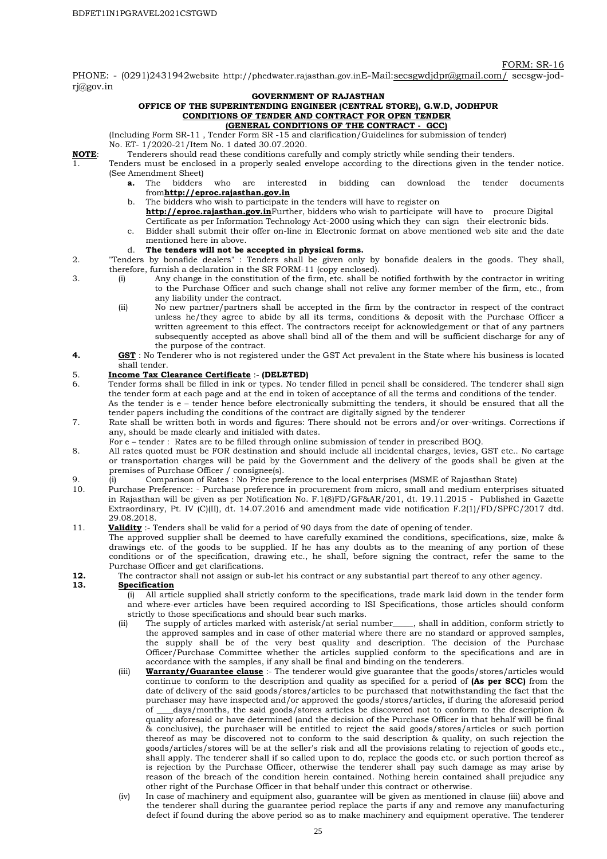#### FORM: SR-16

PHONE: - (0291)2431942website http://phedwater.rajasthan.gov.inE-Mail:secsgwdjdpr@gmail.com/ secsgw-jodrj@gov.in

#### **GOVERNMENT OF RAJASTHAN**

#### **OFFICE OF THE SUPERINTENDING ENGINEER (CENTRAL STORE), G.W.D, JODHPUR CONDITIONS OF TENDER AND CONTRACT FOR OPEN TENDER**

#### **(GENERAL CONDITIONS OF THE CONTRACT - GCC)**

(Including Form SR-11 , Tender Form SR -15 and clarification/Guidelines for submission of tender)

No. ET- 1/2020-21/Item No. 1 dated 30.07.2020.

- **NOTE**: Tenderers should read these conditions carefully and comply strictly while sending their tenders.
- 1. Tenders must be enclosed in a properly sealed envelope according to the directions given in the tender notice. (See Amendment Sheet)<br>**a.** The bidders
	- **a.** The bidders who are interested in bidding can download the tender documents from**http://eproc.rajasthan.gov.in**
	- b. The bidders who wish to participate in the tenders will have to register on
	- **http://eproc.rajasthan.gov.in**Further, bidders who wish to participate will have to procure Digital
	- Certificate as per Information Technology Act-2000 using which they can sign their electronic bids.
	- c. Bidder shall submit their offer on-line in Electronic format on above mentioned web site and the date mentioned here in above.

#### d. **The tenders will not be accepted in physical forms.**

- 2. "Tenders by bonafide dealers" : Tenders shall be given only by bonafide dealers in the goods. They shall, therefore, furnish a declaration in the SR FORM-11 (copy enclosed).
- 3. (i) Any change in the constitution of the firm, etc. shall be notified forthwith by the contractor in writing to the Purchase Officer and such change shall not relive any former member of the firm, etc., from any liability under the contract.
	- (ii) No new partner/partners shall be accepted in the firm by the contractor in respect of the contract unless he/they agree to abide by all its terms, conditions & deposit with the Purchase Officer a written agreement to this effect. The contractors receipt for acknowledgement or that of any partners subsequently accepted as above shall bind all of the them and will be sufficient discharge for any of the purpose of the contract.
- **4. GST** : No Tenderer who is not registered under the GST Act prevalent in the State where his business is located shall tender.

## 5. **Income Tax Clearance Certificate** :- **(DELETED)**

- Tender forms shall be filled in ink or types. No tender filled in pencil shall be considered. The tenderer shall sign the tender form at each page and at the end in token of acceptance of all the terms and conditions of the tender. As the tender is e – tender hence before electronically submitting the tenders, it should be ensured that all the tender papers including the conditions of the contract are digitally signed by the tenderer
- 7. Rate shall be written both in words and figures: There should not be errors and/or over-writings. Corrections if any, should be made clearly and initialed with dates.

For e – tender : Rates are to be filled through online submission of tender in prescribed BOQ.

- 8. All rates quoted must be FOR destination and should include all incidental charges, levies, GST etc.. No cartage or transportation charges will be paid by the Government and the delivery of the goods shall be given at the premises of Purchase Officer / consignee(s).
- 9. (i) Comparison of Rates : No Price preference to the local enterprises (MSME of Rajasthan State)
- 10. Purchase Preference: Purchase preference in procurement from micro, small and medium enterprises situated in Rajasthan will be given as per Notification No. F.1(8)FD/GF&AR/201, dt. 19.11.2015 - Published in Gazette Extraordinary, Pt. IV (C)(II), dt. 14.07.2016 and amendment made vide notification F.2(1)/FD/SPFC/2017 dtd. 29.08.2018.
- 11. **Validity** :- Tenders shall be valid for a period of 90 days from the date of opening of tender.

The approved supplier shall be deemed to have carefully examined the conditions, specifications, size, make & drawings etc. of the goods to be supplied. If he has any doubts as to the meaning of any portion of these conditions or of the specification, drawing etc., he shall, before signing the contract, refer the same to the Purchase Officer and get clarifications.

**12.** The contractor shall not assign or sub-let his contract or any substantial part thereof to any other agency.

#### **13. Specification**

(i) All article supplied shall strictly conform to the specifications, trade mark laid down in the tender form and where-ever articles have been required according to ISI Specifications, those articles should conform strictly to those specifications and should bear such marks.

- (ii) The supply of articles marked with asterisk/at serial number\_\_\_\_\_, shall in addition, conform strictly to the approved samples and in case of other material where there are no standard or approved samples, the supply shall be of the very best quality and description. The decision of the Purchase Officer/Purchase Committee whether the articles supplied conform to the specifications and are in accordance with the samples, if any shall be final and binding on the tenderers.
- (iii) **Warranty/Guarantee clause** :- The tenderer would give guarantee that the goods/stores/articles would continue to conform to the description and quality as specified for a period of **(As per SCC)** from the date of delivery of the said goods/stores/articles to be purchased that notwithstanding the fact that the purchaser may have inspected and/or approved the goods/stores/articles, if during the aforesaid period of \_\_\_\_days/months, the said goods/stores articles be discovered not to conform to the description & quality aforesaid or have determined (and the decision of the Purchase Officer in that behalf will be final & conclusive), the purchaser will be entitled to reject the said goods/stores/articles or such portion thereof as may be discovered not to conform to the said description & quality, on such rejection the goods/articles/stores will be at the seller's risk and all the provisions relating to rejection of goods etc., shall apply. The tenderer shall if so called upon to do, replace the goods etc. or such portion thereof as is rejection by the Purchase Officer, otherwise the tenderer shall pay such damage as may arise by reason of the breach of the condition herein contained. Nothing herein contained shall prejudice any other right of the Purchase Officer in that behalf under this contract or otherwise.
- (iv) In case of machinery and equipment also, guarantee will be given as mentioned in clause (iii) above and the tenderer shall during the guarantee period replace the parts if any and remove any manufacturing defect if found during the above period so as to make machinery and equipment operative. The tenderer

25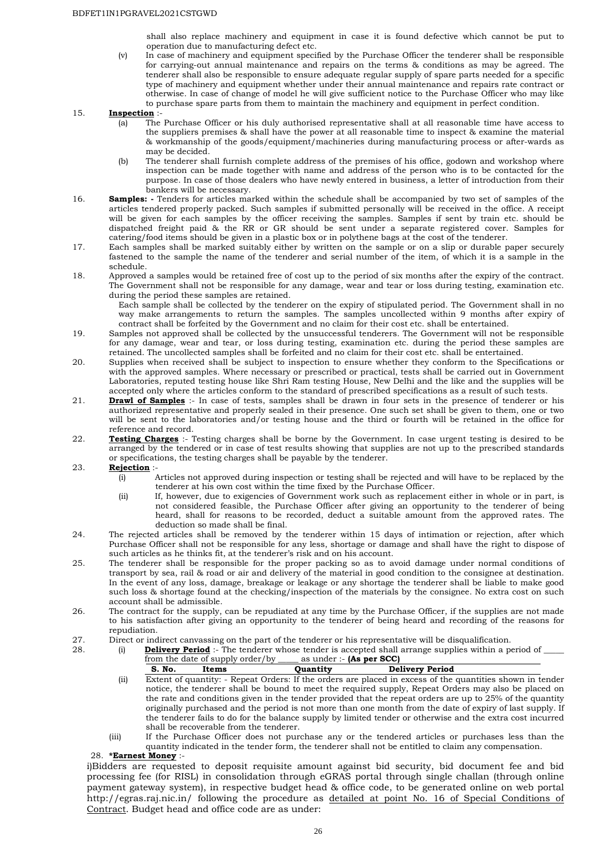shall also replace machinery and equipment in case it is found defective which cannot be put to operation due to manufacturing defect etc.

(v) In case of machinery and equipment specified by the Purchase Officer the tenderer shall be responsible for carrying-out annual maintenance and repairs on the terms & conditions as may be agreed. The tenderer shall also be responsible to ensure adequate regular supply of spare parts needed for a specific type of machinery and equipment whether under their annual maintenance and repairs rate contract or otherwise. In case of change of model he will give sufficient notice to the Purchase Officer who may like to purchase spare parts from them to maintain the machinery and equipment in perfect condition.

#### 15. **Inspection**:

- (a) The Purchase Officer or his duly authorised representative shall at all reasonable time have access to the suppliers premises & shall have the power at all reasonable time to inspect & examine the material & workmanship of the goods/equipment/machineries during manufacturing process or after-wards as may be decided.
- (b) The tenderer shall furnish complete address of the premises of his office, godown and workshop where inspection can be made together with name and address of the person who is to be contacted for the purpose. In case of those dealers who have newly entered in business, a letter of introduction from their bankers will be necessary.
- 16. **Samples: -** Tenders for articles marked within the schedule shall be accompanied by two set of samples of the articles tendered properly packed. Such samples if submitted personally will be received in the office. A receipt will be given for each samples by the officer receiving the samples. Samples if sent by train etc. should be dispatched freight paid & the RR or GR should be sent under a separate registered cover. Samples for catering/food items should be given in a plastic box or in polythene bags at the cost of the tenderer.
- 17. Each samples shall be marked suitably either by written on the sample or on a slip or durable paper securely fastened to the sample the name of the tenderer and serial number of the item, of which it is a sample in the schedule.
- 18. Approved a samples would be retained free of cost up to the period of six months after the expiry of the contract. The Government shall not be responsible for any damage, wear and tear or loss during testing, examination etc. during the period these samples are retained.

Each sample shall be collected by the tenderer on the expiry of stipulated period. The Government shall in no way make arrangements to return the samples. The samples uncollected within 9 months after expiry of contract shall be forfeited by the Government and no claim for their cost etc. shall be entertained.

- 19. Samples not approved shall be collected by the unsuccessful tenderers. The Government will not be responsible for any damage, wear and tear, or loss during testing, examination etc. during the period these samples are retained. The uncollected samples shall be forfeited and no claim for their cost etc. shall be entertained.
- 20. Supplies when received shall be subject to inspection to ensure whether they conform to the Specifications or with the approved samples. Where necessary or prescribed or practical, tests shall be carried out in Government Laboratories, reputed testing house like Shri Ram testing House, New Delhi and the like and the supplies will be accepted only where the articles conform to the standard of prescribed specifications as a result of such tests.
- 21. **Drawl of Samples** :- In case of tests, samples shall be drawn in four sets in the presence of tenderer or his authorized representative and properly sealed in their presence. One such set shall be given to them, one or two will be sent to the laboratories and/or testing house and the third or fourth will be retained in the office for reference and record.
- 22. **Testing Charges** :- Testing charges shall be borne by the Government. In case urgent testing is desired to be arranged by the tendered or in case of test results showing that supplies are not up to the prescribed standards or specifications, the testing charges shall be payable by the tenderer.

#### 23. **Rejection** :-

- (i) Articles not approved during inspection or testing shall be rejected and will have to be replaced by the tenderer at his own cost within the time fixed by the Purchase Officer.
- (ii) If, however, due to exigencies of Government work such as replacement either in whole or in part, is not considered feasible, the Purchase Officer after giving an opportunity to the tenderer of being heard, shall for reasons to be recorded, deduct a suitable amount from the approved rates. The deduction so made shall be final.
- 24. The rejected articles shall be removed by the tenderer within 15 days of intimation or rejection, after which Purchase Officer shall not be responsible for any less, shortage or damage and shall have the right to dispose of such articles as he thinks fit, at the tenderer's risk and on his account.
- 25. The tenderer shall be responsible for the proper packing so as to avoid damage under normal conditions of transport by sea, rail & road or air and delivery of the material in good condition to the consignee at destination. In the event of any loss, damage, breakage or leakage or any shortage the tenderer shall be liable to make good such loss & shortage found at the checking/inspection of the materials by the consignee. No extra cost on such account shall be admissible.
- 26. The contract for the supply, can be repudiated at any time by the Purchase Officer, if the supplies are not made to his satisfaction after giving an opportunity to the tenderer of being heard and recording of the reasons for repudiation.
- 27. Direct or indirect canvassing on the part of the tenderer or his representative will be disqualification.<br>28. (i) **Delivery Period** :- The tenderer whose tender is accepted shall arrange supplies within a po
	- 28. (i) **Delivery Period** :- The tenderer whose tender is accepted shall arrange supplies within a period of \_\_\_\_\_ from the date of supply order/by

|      | S. No. | Items | Ouantitv | <b>Delivery Period</b> |                                                                                                           |  |
|------|--------|-------|----------|------------------------|-----------------------------------------------------------------------------------------------------------|--|
| (ii) |        |       |          |                        | Extent of quantity: - Repeat Orders: If the orders are placed in excess of the quantities shown in tender |  |

- notice, the tenderer shall be bound to meet the required supply, Repeat Orders may also be placed on the rate and conditions given in the tender provided that the repeat orders are up to 25% of the quantity originally purchased and the period is not more than one month from the date of expiry of last supply. If the tenderer fails to do for the balance supply by limited tender or otherwise and the extra cost incurred shall be recoverable from the tenderer.
- (iii) If the Purchase Officer does not purchase any or the tendered articles or purchases less than the quantity indicated in the tender form, the tenderer shall not be entitled to claim any compensation.

#### 28. **\*Earnest Money** :-

i)Bidders are requested to deposit requisite amount against bid security, bid document fee and bid processing fee (for RISL) in consolidation through eGRAS portal through single challan (through online payment gateway system), in respective budget head & office code, to be generated online on web portal http://egras.raj.nic.in/ following the procedure as detailed at point No. 16 of Special Conditions of Contract. Budget head and office code are as under: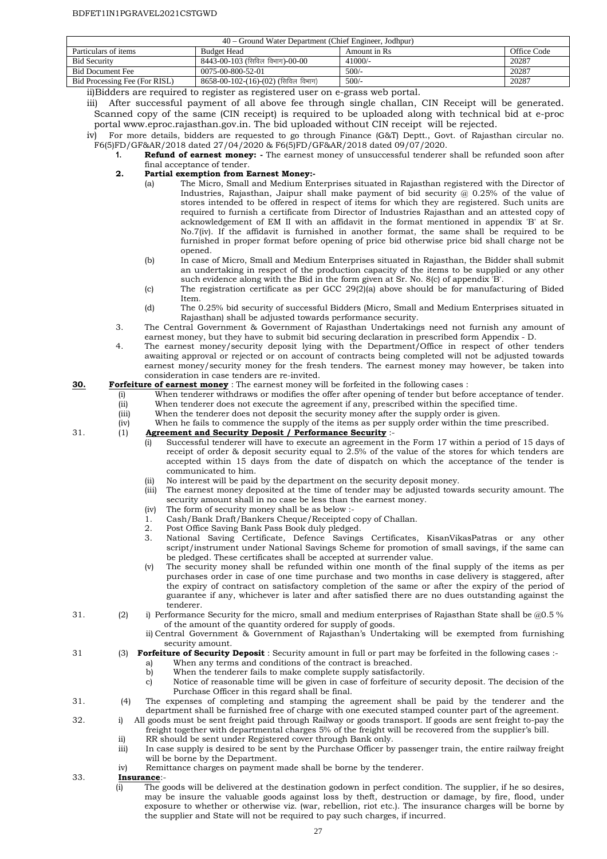| 40 – Ground Water Department (Chief Engineer, Jodhpur) |                                       |               |             |  |
|--------------------------------------------------------|---------------------------------------|---------------|-------------|--|
| Particulars of items                                   | <b>Budget Head</b>                    | Amount in Rs. | Office Code |  |
| <b>Bid Security</b>                                    | 8443-00-103 (सिविल विभाग)-00-00       | $41000/-$     | 20287       |  |
| <b>Bid Document Fee</b>                                | 0075-00-800-52-01                     | $500/-$       | 20287       |  |
| Bid Processing Fee (For RISL)                          | $8658-00-102-(16)-(02)$ (सिविल विभाग) | $500/-$       | 20287       |  |
|                                                        |                                       |               |             |  |

ii)Bidders are required to register as registered user on e-grass web portal.

iii) After successful payment of all above fee through single challan, CIN Receipt will be generated. Scanned copy of the same (CIN receipt) is required to be uploaded along with technical bid at e-proc portal www.eproc.rajasthan.gov.in. The bid uploaded without CIN receipt will be rejected.

iv) For more details, bidders are requested to go through Finance (G&T) Deptt., Govt. of Rajasthan circular no.

- F6(5)FD/GF&AR/2018 dated 27/04/2020 & F6(5)FD/GF&AR/2018 dated 09/07/2020. **1. Refund of earnest money: -** The earnest money of unsuccessful tenderer shall be refunded soon after final acceptance of tender.
	- **2. Partial exemption from Earnest Money:-**
		- (a) The Micro, Small and Medium Enterprises situated in Rajasthan registered with the Director of Industries, Rajasthan, Jaipur shall make payment of bid security  $\omega$  0.25% of the value of stores intended to be offered in respect of items for which they are registered. Such units are required to furnish a certificate from Director of Industries Rajasthan and an attested copy of acknowledgement of EM II with an affidavit in the format mentioned in appendix 'B' at Sr. No.7(iv). If the affidavit is furnished in another format, the same shall be required to be furnished in proper format before opening of price bid otherwise price bid shall charge not be opened.
		- (b) In case of Micro, Small and Medium Enterprises situated in Rajasthan, the Bidder shall submit an undertaking in respect of the production capacity of the items to be supplied or any other such evidence along with the Bid in the form given at Sr. No. 8(c) of appendix 'B'.
		- (c) The registration certificate as per GCC 29(2)(a) above should be for manufacturing of Bided Item.
		- (d) The 0.25% bid security of successful Bidders (Micro, Small and Medium Enterprises situated in Rajasthan) shall be adjusted towards performance security.
	- 3. The Central Government & Government of Rajasthan Undertakings need not furnish any amount of earnest money, but they have to submit bid securing declaration in prescribed form Appendix - D.
	- 4. The earnest money/security deposit lying with the Department/Office in respect of other tenders awaiting approval or rejected or on account of contracts being completed will not be adjusted towards earnest money/security money for the fresh tenders. The earnest money may however, be taken into consideration in case tenders are re-invited.

#### **30. Forfeiture of earnest money** : The earnest money will be forfeited in the following cases :

- (i) When tenderer withdraws or modifies the offer after opening of tender but before acceptance of tender.
- (ii) When tenderer does not execute the agreement if any, prescribed within the specified time. (iii) When the tenderer does not deposit the security money after the supply order is given.
- (iv) When he fails to commence the supply of the items as per supply order within the time prescribed.<br>(1) **Agreement and Security Deposit / Performance Security** :-

#### 31. (1) **Agreement and Security Deposit / Performance Security** :-

- (i) Successful tenderer will have to execute an agreement in the Form 17 within a period of 15 days of receipt of order & deposit security equal to  $2.5%$  of the value of the stores for which tenders are accepted within 15 days from the date of dispatch on which the acceptance of the tender is communicated to him.
- (ii) No interest will be paid by the department on the security deposit money.
- (iii) The earnest money deposited at the time of tender may be adjusted towards security amount. The security amount shall in no case be less than the earnest money.
- (iv) The form of security money shall be as below :-
- 1. Cash/Bank Draft/Bankers Cheque/Receipted copy of Challan.
- 2. Post Office Saving Bank Pass Book duly pledged.<br>3. National Saving Certificate Defence Savings
- 3. National Saving Certificate, Defence Savings Certificates, KisanVikasPatras or any other script/instrument under National Savings Scheme for promotion of small savings, if the same can be pledged. These certificates shall be accepted at surrender value.
- (v) The security money shall be refunded within one month of the final supply of the items as per purchases order in case of one time purchase and two months in case delivery is staggered, after the expiry of contract on satisfactory completion of the same or after the expiry of the period of guarantee if any, whichever is later and after satisfied there are no dues outstanding against the tenderer.
- 31. (2) i) Performance Security for the micro, small and medium enterprises of Rajasthan State shall be @0.5 % of the amount of the quantity ordered for supply of goods.
	- ii) Central Government & Government of Rajasthan's Undertaking will be exempted from furnishing security amount.
- 31 (3) **Forfeiture of Security Deposit** : Security amount in full or part may be forfeited in the following cases :
	- a) When any terms and conditions of the contract is breached.
	- b) When the tenderer fails to make complete supply satisfactorily.
	- c) Notice of reasonable time will be given in case of forfeiture of security deposit. The decision of the Purchase Officer in this regard shall be final.
- 31. (4) The expenses of completing and stamping the agreement shall be paid by the tenderer and the department shall be furnished free of charge with one executed stamped counter part of the agreement.
- 32. i) All goods must be sent freight paid through Railway or goods transport. If goods are sent freight to-pay the freight together with departmental charges 5% of the freight will be recovered from the supplier's bill.
	- ii) RR should be sent under Registered cover through Bank only.
	- iii) In case supply is desired to be sent by the Purchase Officer by passenger train, the entire railway freight will be borne by the Department.
	- iv) Remittance charges on payment made shall be borne by the tenderer.
- 33. **Insurance**:-
	- (i) The goods will be delivered at the destination godown in perfect condition. The supplier, if he so desires, may be insure the valuable goods against loss by theft, destruction or damage, by fire, flood, under exposure to whether or otherwise viz. (war, rebellion, riot etc.). The insurance charges will be borne by the supplier and State will not be required to pay such charges, if incurred.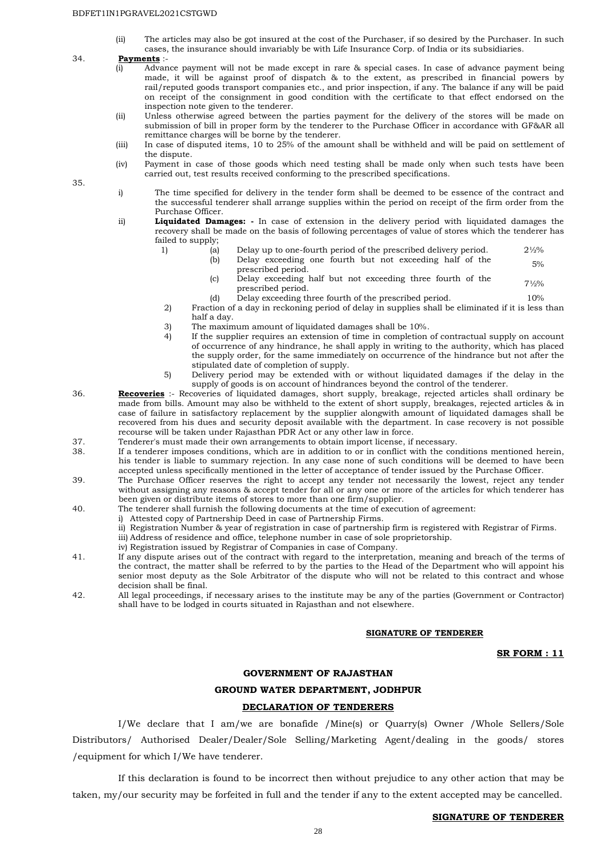(ii) The articles may also be got insured at the cost of the Purchaser, if so desired by the Purchaser. In such cases, the insurance should invariably be with Life Insurance Corp. of India or its subsidiaries.

#### 34. **Payments** :-

- (i) Advance payment will not be made except in rare & special cases. In case of advance payment being made, it will be against proof of dispatch & to the extent, as prescribed in financial powers by rail/reputed goods transport companies etc., and prior inspection, if any. The balance if any will be paid on receipt of the consignment in good condition with the certificate to that effect endorsed on the inspection note given to the tenderer.
- (ii) Unless otherwise agreed between the parties payment for the delivery of the stores will be made on submission of bill in proper form by the tenderer to the Purchase Officer in accordance with GF&AR all remittance charges will be borne by the tenderer.
- (iii) In case of disputed items, 10 to 25% of the amount shall be withheld and will be paid on settlement of the dispute.
- (iv) Payment in case of those goods which need testing shall be made only when such tests have been carried out, test results received conforming to the prescribed specifications.

35.

- i) The time specified for delivery in the tender form shall be deemed to be essence of the contract and the successful tenderer shall arrange supplies within the period on receipt of the firm order from the Purchase Officer.
- ii) **Liquidated Damages: -** In case of extension in the delivery period with liquidated damages the recovery shall be made on the basis of following percentages of value of stores which the tenderer has failed to supply;
	- 1) (a) Delay up to one-fourth period of the prescribed delivery period. 21/2% (b) Delay exceeding one fourth but not exceeding half of the betay executing one fourth but not executing hand of the two 5% speecribed period.
	- (c) Delay exceeding half but not exceeding three fourth of the  $7\frac{1}{2}\%$ 
		-
	- (d) Delay exceeding three fourth of the prescribed period. 10%<br>Traction of a day in reckoning period of delay in supplies shall be eliminated if it is less Fraction of a day in reckoning period of delay in supplies shall be eliminated if it is less than half a day.
	- 3) The maximum amount of liquidated damages shall be 10%.<br>4) If the supplier requires an extension of time in completion
	- If the supplier requires an extension of time in completion of contractual supply on account of occurrence of any hindrance, he shall apply in writing to the authority, which has placed the supply order, for the same immediately on occurrence of the hindrance but not after the stipulated date of completion of supply.
	- 5) Delivery period may be extended with or without liquidated damages if the delay in the supply of goods is on account of hindrances beyond the control of the tenderer.
- 36. **Recoveries** :- Recoveries of liquidated damages, short supply, breakage, rejected articles shall ordinary be made from bills. Amount may also be withheld to the extent of short supply, breakages, rejected articles & in case of failure in satisfactory replacement by the supplier alongwith amount of liquidated damages shall be recovered from his dues and security deposit available with the department. In case recovery is not possible recourse will be taken under Rajasthan PDR Act or any other law in force.
- 37. Tenderer's must made their own arrangements to obtain import license, if necessary.
- 38. If a tenderer imposes conditions, which are in addition to or in conflict with the conditions mentioned herein, his tender is liable to summary rejection. In any case none of such conditions will be deemed to have been accepted unless specifically mentioned in the letter of acceptance of tender issued by the Purchase Officer.
- 39. The Purchase Officer reserves the right to accept any tender not necessarily the lowest, reject any tender without assigning any reasons & accept tender for all or any one or more of the articles for which tenderer has been given or distribute items of stores to more than one firm/supplier.
- 40. The tenderer shall furnish the following documents at the time of execution of agreement:
	- i) Attested copy of Partnership Deed in case of Partnership Firms.
	- ii) Registration Number & year of registration in case of partnership firm is registered with Registrar of Firms.
	- iii) Address of residence and office, telephone number in case of sole proprietorship.
	- iv) Registration issued by Registrar of Companies in case of Company.
- 41. If any dispute arises out of the contract with regard to the interpretation, meaning and breach of the terms of the contract, the matter shall be referred to by the parties to the Head of the Department who will appoint his senior most deputy as the Sole Arbitrator of the dispute who will not be related to this contract and whose decision shall be final.
- 42. All legal proceedings, if necessary arises to the institute may be any of the parties (Government or Contractor) shall have to be lodged in courts situated in Rajasthan and not elsewhere.

#### **SIGNATURE OF TENDERER**

**SR FORM : 11**

#### **GOVERNMENT OF RAJASTHAN**

#### **GROUND WATER DEPARTMENT, JODHPUR**

#### **DECLARATION OF TENDERERS**

 I/We declare that I am/we are bonafide /Mine(s) or Quarry(s) Owner /Whole Sellers/Sole Distributors/ Authorised Dealer/Dealer/Sole Selling/Marketing Agent/dealing in the goods/ stores /equipment for which I/We have tenderer.

 If this declaration is found to be incorrect then without prejudice to any other action that may be taken, my/our security may be forfeited in full and the tender if any to the extent accepted may be cancelled.

#### **SIGNATURE OF TENDERER**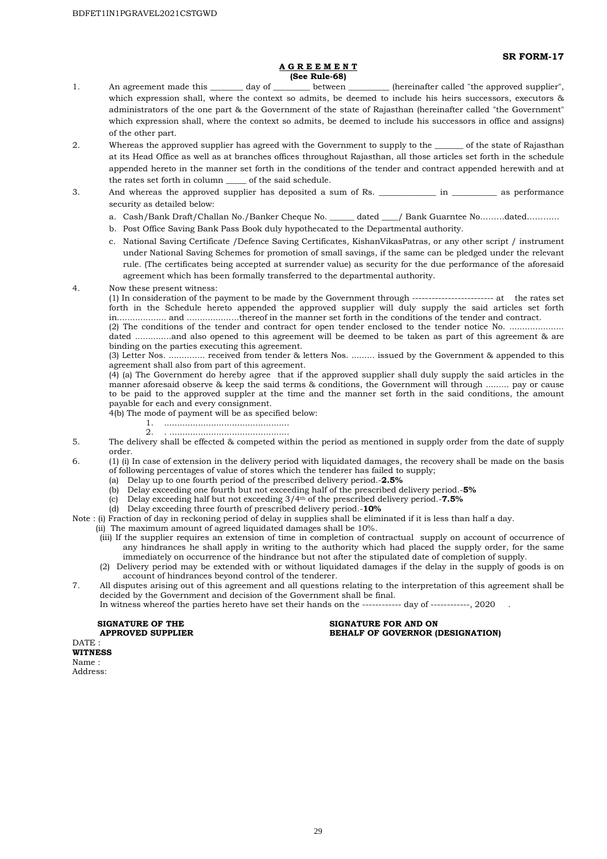**SR FORM-17** 

#### **A G R E E M E N T (See Rule-68)**

- 1. An agreement made this \_\_\_\_\_\_\_\_ day of \_\_\_\_\_\_\_\_\_\_ between \_\_\_\_\_\_\_\_\_\_\_ (hereinafter called "the approved supplier", which expression shall, where the context so admits, be deemed to include his heirs successors, executors & administrators of the one part & the Government of the state of Rajasthan (hereinafter called "the Government" which expression shall, where the context so admits, be deemed to include his successors in office and assigns) of the other part.
- 2. Whereas the approved supplier has agreed with the Government to supply to the \_\_\_\_\_\_ of the state of Rajasthan at its Head Office as well as at branches offices throughout Rajasthan, all those articles set forth in the schedule appended hereto in the manner set forth in the conditions of the tender and contract appended herewith and at the rates set forth in column \_\_\_\_\_ of the said schedule.
- 3. And whereas the approved supplier has deposited a sum of Rs. \_\_\_\_\_\_\_\_\_\_\_\_\_\_ in \_\_\_\_\_\_\_\_\_ as performance security as detailed below:
	- a. Cash/Bank Draft/Challan No./Banker Cheque No. \_\_\_\_\_\_ dated \_\_\_\_/ Bank Guarntee No………dated…………
	- b. Post Office Saving Bank Pass Book duly hypothecated to the Departmental authority.
	- c. National Saving Certificate /Defence Saving Certificates, KishanVikasPatras, or any other script / instrument under National Saving Schemes for promotion of small savings, if the same can be pledged under the relevant rule. (The certificates being accepted at surrender value) as security for the due performance of the aforesaid agreement which has been formally transferred to the departmental authority.

4. Now these present witness:

(1) In consideration of the payment to be made by the Government through ------------------------- at the rates set forth in the Schedule hereto appended the approved supplier will duly supply the said articles set forth in................... and ....................thereof in the manner set forth in the conditions of the tender and contract.

(2) The conditions of the tender and contract for open tender enclosed to the tender notice No. ..................... dated ..............and also opened to this agreement will be deemed to be taken as part of this agreement & are binding on the parties executing this agreement.

(3) Letter Nos. .............. received from tender & letters Nos. ......... issued by the Government & appended to this agreement shall also from part of this agreement.

(4) (a) The Government do hereby agree that if the approved supplier shall duly supply the said articles in the manner aforesaid observe & keep the said terms & conditions, the Government will through ......... pay or cause to be paid to the approved suppler at the time and the manner set forth in the said conditions, the amount payable for each and every consignment.

- 4(b) The mode of payment will be as specified below:
	- 1. ................................................
	- 2. . ..............................................
- 5. The delivery shall be effected & competed within the period as mentioned in supply order from the date of supply order.
- 6. (1) (i) In case of extension in the delivery period with liquidated damages, the recovery shall be made on the basis of following percentages of value of stores which the tenderer has failed to supply;
	- (a) Delay up to one fourth period of the prescribed delivery period.-**2.5%**
	- (b) Delay exceeding one fourth but not exceeding half of the prescribed delivery period.-**5%**
	- (c) Delay exceeding half but not exceeding 3/4th of the prescribed delivery period.-**7.5%**
		- (d) Delay exceeding three fourth of prescribed delivery period.-**10%**

Note : (i) Fraction of day in reckoning period of delay in supplies shall be eliminated if it is less than half a day.

- (ii) The maximum amount of agreed liquidated damages shall be 10%.
	- (iii) If the supplier requires an extension of time in completion of contractual supply on account of occurrence of any hindrances he shall apply in writing to the authority which had placed the supply order, for the same immediately on occurrence of the hindrance but not after the stipulated date of completion of supply.
- (2) Delivery period may be extended with or without liquidated damages if the delay in the supply of goods is on account of hindrances beyond control of the tenderer.
- 7. All disputes arising out of this agreement and all questions relating to the interpretation of this agreement shall be decided by the Government and decision of the Government shall be final.<br>In witness whereof the parties hereto have set their hands on the ------------- day of ------------. 2020

In witness whereof the parties hereto have set their hands on the -------

**SIGNATURE OF THE SIGNATURE FOR AND ON APPROVED SUPPLIER SERVICE SIGNATURE FOR AND ON APPROVED SUPPLIER BEHALF OF GOVERNOR (DESIGNATION)** 

DATE : **WITNESS**  Name : Address: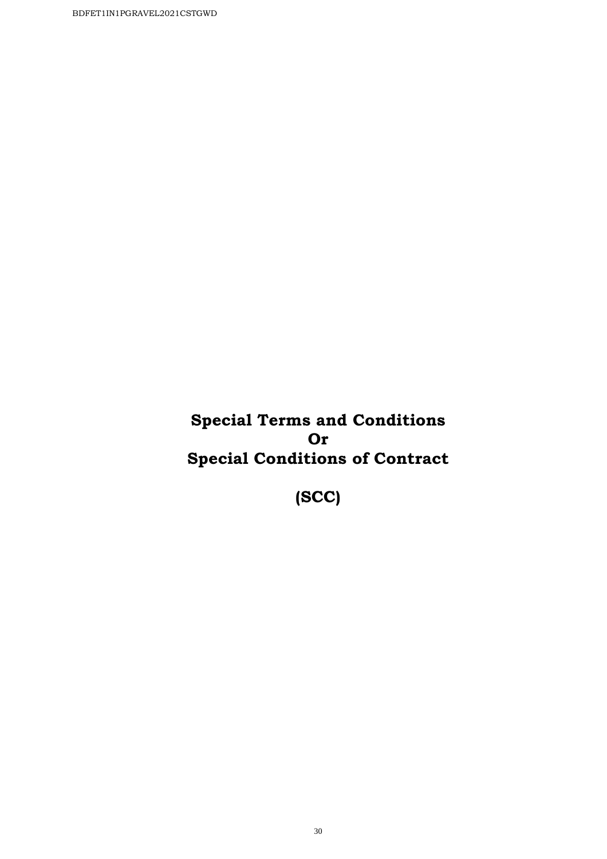**Special Terms and Conditions Or Special Conditions of Contract** 

**(SCC)**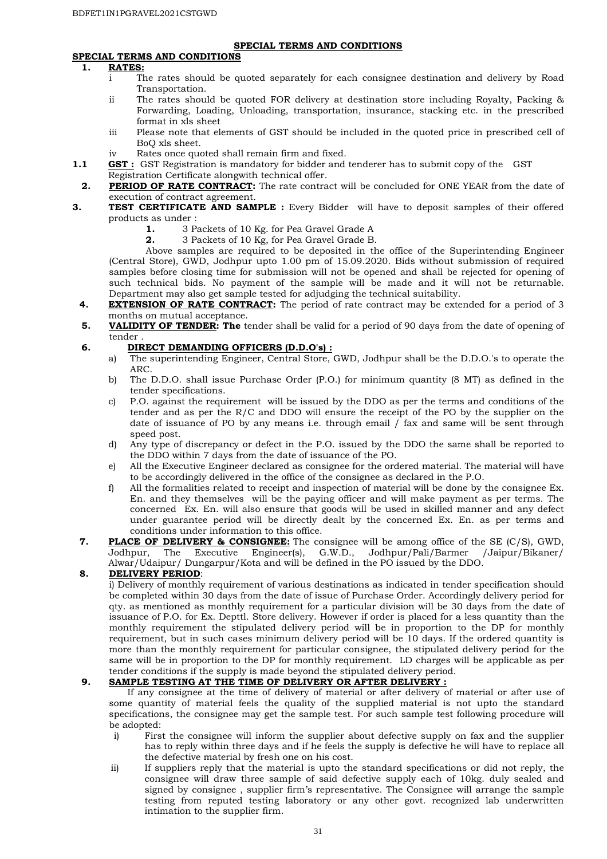#### **SPECIAL TERMS AND CONDITIONS**

#### **SPECIAL TERMS AND CONDITIONS**

#### **1. RATES:**

- i The rates should be quoted separately for each consignee destination and delivery by Road Transportation.
- ii The rates should be quoted FOR delivery at destination store including Royalty, Packing & Forwarding, Loading, Unloading, transportation, insurance, stacking etc. in the prescribed format in xls sheet
- iii Please note that elements of GST should be included in the quoted price in prescribed cell of BoQ xls sheet.
- iv Rates once quoted shall remain firm and fixed.
- **1.1 GST:** GST Registration is mandatory for bidder and tenderer has to submit copy of the GST Registration Certificate alongwith technical offer.
- **2. PERIOD OF RATE CONTRACT:** The rate contract will be concluded for ONE YEAR from the date of execution of contract agreement.
- **3. TEST CERTIFICATE AND SAMPLE :** Every Bidder will have to deposit samples of their offered products as under :
	- **1.** 3 Packets of 10 Kg. for Pea Gravel Grade A
	- **2.** 3 Packets of 10 Kg, for Pea Gravel Grade B.

Above samples are required to be deposited in the office of the Superintending Engineer (Central Store), GWD, Jodhpur upto 1.00 pm of 15.09.2020. Bids without submission of required samples before closing time for submission will not be opened and shall be rejected for opening of such technical bids. No payment of the sample will be made and it will not be returnable. Department may also get sample tested for adjudging the technical suitability.

- **4. EXTENSION OF RATE CONTRACT:** The period of rate contract may be extended for a period of 3 months on mutual acceptance.
- **5. VALIDITY OF TENDER: The** tender shall be valid for a period of 90 days from the date of opening of tender .

#### **6. DIRECT DEMANDING OFFICERS (D.D.O's) :**

- a) The superintending Engineer, Central Store, GWD, Jodhpur shall be the D.D.O.'s to operate the ARC.
- b) The D.D.O. shall issue Purchase Order (P.O.) for minimum quantity (8 MT) as defined in the tender specifications.
- c) P.O. against the requirement will be issued by the DDO as per the terms and conditions of the tender and as per the R/C and DDO will ensure the receipt of the PO by the supplier on the date of issuance of PO by any means i.e. through email  $\int$  fax and same will be sent through speed post.
- d) Any type of discrepancy or defect in the P.O. issued by the DDO the same shall be reported to the DDO within 7 days from the date of issuance of the PO.
- e) All the Executive Engineer declared as consignee for the ordered material. The material will have to be accordingly delivered in the office of the consignee as declared in the P.O.
- f) All the formalities related to receipt and inspection of material will be done by the consignee Ex. En. and they themselves will be the paying officer and will make payment as per terms. The concerned Ex. En. will also ensure that goods will be used in skilled manner and any defect under guarantee period will be directly dealt by the concerned Ex. En. as per terms and conditions under information to this office.
- **7. PLACE OF DELIVERY & CONSIGNEE:** The consignee will be among office of the SE (C/S), GWD, Jodhpur, The Executive Engineer(s), G.W.D., Jodhpur/Pali/Barmer /Jaipur/Bikaner/ Jodhpur, The Executive Engineer(s), Alwar/Udaipur/ Dungarpur/Kota and will be defined in the PO issued by the DDO.

#### **8. DELIVERY PERIOD**:

i) Delivery of monthly requirement of various destinations as indicated in tender specification should be completed within 30 days from the date of issue of Purchase Order. Accordingly delivery period for qty. as mentioned as monthly requirement for a particular division will be 30 days from the date of issuance of P.O. for Ex. Depttl. Store delivery. However if order is placed for a less quantity than the monthly requirement the stipulated delivery period will be in proportion to the DP for monthly requirement, but in such cases minimum delivery period will be 10 days. If the ordered quantity is more than the monthly requirement for particular consignee, the stipulated delivery period for the same will be in proportion to the DP for monthly requirement. LD charges will be applicable as per tender conditions if the supply is made beyond the stipulated delivery period.

#### **9. SAMPLE TESTING AT THE TIME OF DELIVERY OR AFTER DELIVERY :**

If any consignee at the time of delivery of material or after delivery of material or after use of some quantity of material feels the quality of the supplied material is not upto the standard specifications, the consignee may get the sample test. For such sample test following procedure will be adopted:

- i) First the consignee will inform the supplier about defective supply on fax and the supplier has to reply within three days and if he feels the supply is defective he will have to replace all the defective material by fresh one on his cost.
- ii) If suppliers reply that the material is upto the standard specifications or did not reply, the consignee will draw three sample of said defective supply each of 10kg. duly sealed and signed by consignee , supplier firm's representative. The Consignee will arrange the sample testing from reputed testing laboratory or any other govt. recognized lab underwritten intimation to the supplier firm.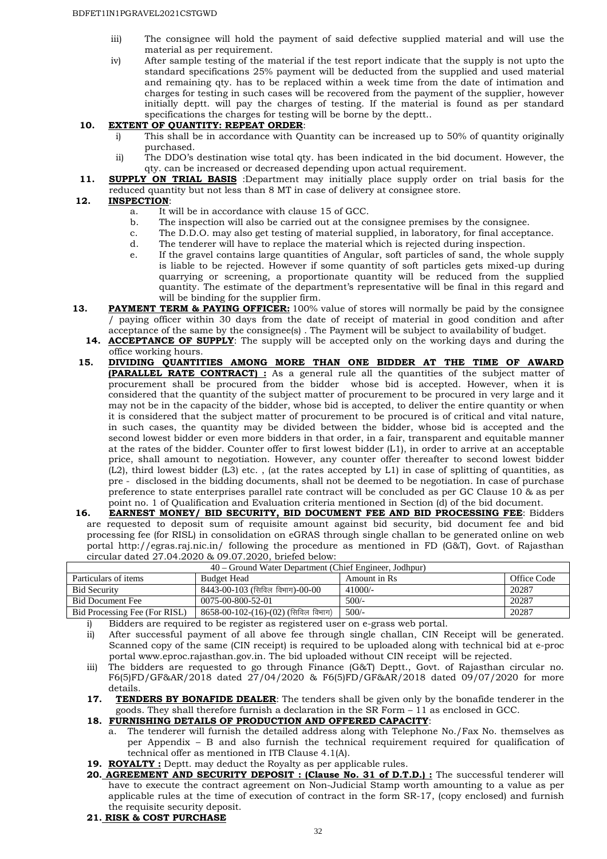- iii) The consignee will hold the payment of said defective supplied material and will use the material as per requirement.
- iv) After sample testing of the material if the test report indicate that the supply is not upto the standard specifications 25% payment will be deducted from the supplied and used material and remaining qty. has to be replaced within a week time from the date of intimation and charges for testing in such cases will be recovered from the payment of the supplier, however initially deptt. will pay the charges of testing. If the material is found as per standard specifications the charges for testing will be borne by the deptt..

#### **10. EXTENT OF QUANTITY: REPEAT ORDER**:

- i) This shall be in accordance with Quantity can be increased up to 50% of quantity originally purchased.
- ii) The DDO's destination wise total qty. has been indicated in the bid document. However, the qty. can be increased or decreased depending upon actual requirement.
- 11. **SUPPLY ON TRIAL BASIS** :Department may initially place supply order on trial basis for the reduced quantity but not less than 8 MT in case of delivery at consignee store.

#### **12. INSPECTION**:

- a. It will be in accordance with clause 15 of GCC.
- b. The inspection will also be carried out at the consignee premises by the consignee.
- c. The D.D.O. may also get testing of material supplied, in laboratory, for final acceptance.
- d. The tenderer will have to replace the material which is rejected during inspection.
- e. If the gravel contains large quantities of Angular, soft particles of sand, the whole supply is liable to be rejected. However if some quantity of soft particles gets mixed-up during quarrying or screening, a proportionate quantity will be reduced from the supplied quantity. The estimate of the department's representative will be final in this regard and will be binding for the supplier firm.
- **13. PAYMENT TERM & PAYING OFFICER:** 100% value of stores will normally be paid by the consignee / paying officer within 30 days from the date of receipt of material in good condition and after acceptance of the same by the consignee(s) . The Payment will be subject to availability of budget.
	- **14. ACCEPTANCE OF SUPPLY**: The supply will be accepted only on the working days and during the office working hours.
- **15. DIVIDING QUANTITIES AMONG MORE THAN ONE BIDDER AT THE TIME OF AWARD (PARALLEL RATE CONTRACT) :** As a general rule all the quantities of the subject matter of procurement shall be procured from the bidder whose bid is accepted. However, when it is considered that the quantity of the subject matter of procurement to be procured in very large and it may not be in the capacity of the bidder, whose bid is accepted, to deliver the entire quantity or when it is considered that the subject matter of procurement to be procured is of critical and vital nature, in such cases, the quantity may be divided between the bidder, whose bid is accepted and the second lowest bidder or even more bidders in that order, in a fair, transparent and equitable manner at the rates of the bidder. Counter offer to first lowest bidder (L1), in order to arrive at an acceptable price, shall amount to negotiation. However, any counter offer thereafter to second lowest bidder (L2), third lowest bidder (L3) etc. , (at the rates accepted by L1) in case of splitting of quantities, as pre - disclosed in the bidding documents, shall not be deemed to be negotiation. In case of purchase preference to state enterprises parallel rate contract will be concluded as per GC Clause 10 & as per point no. 1 of Qualification and Evaluation criteria mentioned in Section (d) of the bid document.
- **16. EARNEST MONEY/ BID SECURITY, BID DOCUMENT FEE AND BID PROCESSING FEE**: Bidders are requested to deposit sum of requisite amount against bid security, bid document fee and bid processing fee (for RISL) in consolidation on eGRAS through single challan to be generated online on web portal http://egras.raj.nic.in/ following the procedure as mentioned in FD (G&T), Govt. of Rajasthan circular dated 27.04.2020 & 09.07.2020, briefed below:

| 40 – Ground Water Department (Chief Engineer, Jodhpur) |                                       |               |             |  |
|--------------------------------------------------------|---------------------------------------|---------------|-------------|--|
| Particulars of items                                   | <b>Budget Head</b>                    | Amount in Rs. | Office Code |  |
| <b>Bid Security</b>                                    | $8443-00-103$ (सिविल विभाग)- $00-00$  | $41000/-$     | 20287       |  |
| Bid Document Fee                                       | 0075-00-800-52-01                     | $500/-$       | 20287       |  |
| Bid Processing Fee (For RISL)                          | $8658-00-102-(16)-(02)$ (सिविल विभाग) | $500/-$       | 20287       |  |

i) Bidders are required to be register as registered user on e-grass web portal.

- ii) After successful payment of all above fee through single challan, CIN Receipt will be generated. Scanned copy of the same (CIN receipt) is required to be uploaded along with technical bid at e-proc portal www.eproc.rajasthan.gov.in. The bid uploaded without CIN receipt will be rejected.
- iii) The bidders are requested to go through Finance (G&T) Deptt., Govt. of Rajasthan circular no. F6(5)FD/GF&AR/2018 dated 27/04/2020 & F6(5)FD/GF&AR/2018 dated 09/07/2020 for more details.
- **17. TENDERS BY BONAFIDE DEALER**: The tenders shall be given only by the bonafide tenderer in the goods. They shall therefore furnish a declaration in the SR Form – 11 as enclosed in GCC.

**18. FURNISHING DETAILS OF PRODUCTION AND OFFERED CAPACITY**:

- a. The tenderer will furnish the detailed address along with Telephone No./Fax No. themselves as per Appendix – B and also furnish the technical requirement required for qualification of technical offer as mentioned in ITB Clause 4.1(A).
- 19. ROYALTY : Deptt. may deduct the Royalty as per applicable rules.
- 20. **AGREEMENT AND SECURITY DEPOSIT : (Clause No. 31 of D.T.D.) :** The successful tenderer will have to execute the contract agreement on Non-Judicial Stamp worth amounting to a value as per applicable rules at the time of execution of contract in the form SR-17, (copy enclosed) and furnish the requisite security deposit.
- **21. RISK & COST PURCHASE**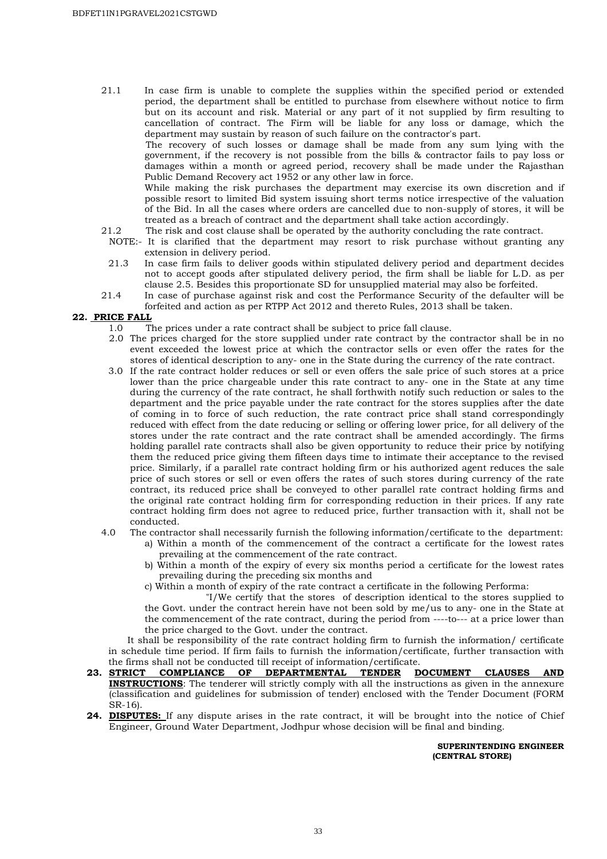21.1 In case firm is unable to complete the supplies within the specified period or extended period, the department shall be entitled to purchase from elsewhere without notice to firm but on its account and risk. Material or any part of it not supplied by firm resulting to cancellation of contract. The Firm will be liable for any loss or damage, which the department may sustain by reason of such failure on the contractor's part.

The recovery of such losses or damage shall be made from any sum lying with the government, if the recovery is not possible from the bills & contractor fails to pay loss or damages within a month or agreed period, recovery shall be made under the Rajasthan Public Demand Recovery act 1952 or any other law in force.

While making the risk purchases the department may exercise its own discretion and if possible resort to limited Bid system issuing short terms notice irrespective of the valuation of the Bid. In all the cases where orders are cancelled due to non-supply of stores, it will be treated as a breach of contract and the department shall take action accordingly.

- 21.2 The risk and cost clause shall be operated by the authority concluding the rate contract.
- NOTE:- It is clarified that the department may resort to risk purchase without granting any extension in delivery period.
- 21.3 In case firm fails to deliver goods within stipulated delivery period and department decides not to accept goods after stipulated delivery period, the firm shall be liable for L.D. as per clause 2.5. Besides this proportionate SD for unsupplied material may also be forfeited.
- 21.4 In case of purchase against risk and cost the Performance Security of the defaulter will be forfeited and action as per RTPP Act 2012 and thereto Rules, 2013 shall be taken.

#### **22. PRICE FALL**

- 1.0 The prices under a rate contract shall be subject to price fall clause.
- 2.0 The prices charged for the store supplied under rate contract by the contractor shall be in no event exceeded the lowest price at which the contractor sells or even offer the rates for the stores of identical description to any- one in the State during the currency of the rate contract.
- 3.0 If the rate contract holder reduces or sell or even offers the sale price of such stores at a price lower than the price chargeable under this rate contract to any- one in the State at any time during the currency of the rate contract, he shall forthwith notify such reduction or sales to the department and the price payable under the rate contract for the stores supplies after the date of coming in to force of such reduction, the rate contract price shall stand correspondingly reduced with effect from the date reducing or selling or offering lower price, for all delivery of the stores under the rate contract and the rate contract shall be amended accordingly. The firms holding parallel rate contracts shall also be given opportunity to reduce their price by notifying them the reduced price giving them fifteen days time to intimate their acceptance to the revised price. Similarly, if a parallel rate contract holding firm or his authorized agent reduces the sale price of such stores or sell or even offers the rates of such stores during currency of the rate contract, its reduced price shall be conveyed to other parallel rate contract holding firms and the original rate contract holding firm for corresponding reduction in their prices. If any rate contract holding firm does not agree to reduced price, further transaction with it, shall not be conducted.
- 4.0 The contractor shall necessarily furnish the following information/certificate to the department:
	- a) Within a month of the commencement of the contract a certificate for the lowest rates prevailing at the commencement of the rate contract.
	- b) Within a month of the expiry of every six months period a certificate for the lowest rates prevailing during the preceding six months and
	- c) Within a month of expiry of the rate contract a certificate in the following Performa:

"I/We certify that the stores of description identical to the stores supplied to the Govt. under the contract herein have not been sold by me/us to any- one in the State at the commencement of the rate contract, during the period from ----to--- at a price lower than the price charged to the Govt. under the contract.

 It shall be responsibility of the rate contract holding firm to furnish the information/ certificate in schedule time period. If firm fails to furnish the information/certificate, further transaction with the firms shall not be conducted till receipt of information/certificate.

- **23. STRICT COMPLIANCE OF DEPARTMENTAL TENDER DOCUMENT CLAUSES AND INSTRUCTIONS**: The tenderer will strictly comply with all the instructions as given in the annexure (classification and guidelines for submission of tender) enclosed with the Tender Document (FORM SR-16).
- **24. DISPUTES:** If any dispute arises in the rate contract, it will be brought into the notice of Chief Engineer, Ground Water Department, Jodhpur whose decision will be final and binding.

**SUPERINTENDING ENGINEER (CENTRAL STORE)**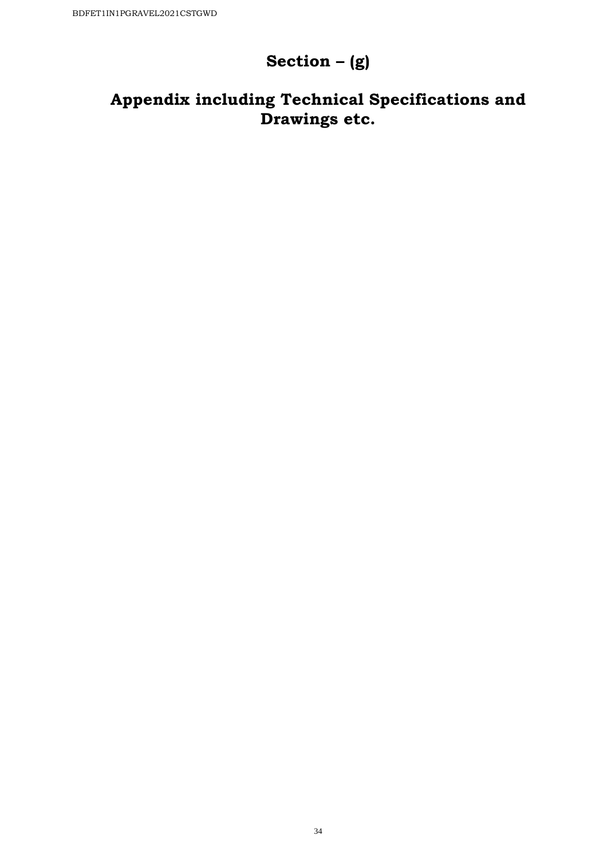# **Section – (g)**

# **Appendix including Technical Specifications and Drawings etc.**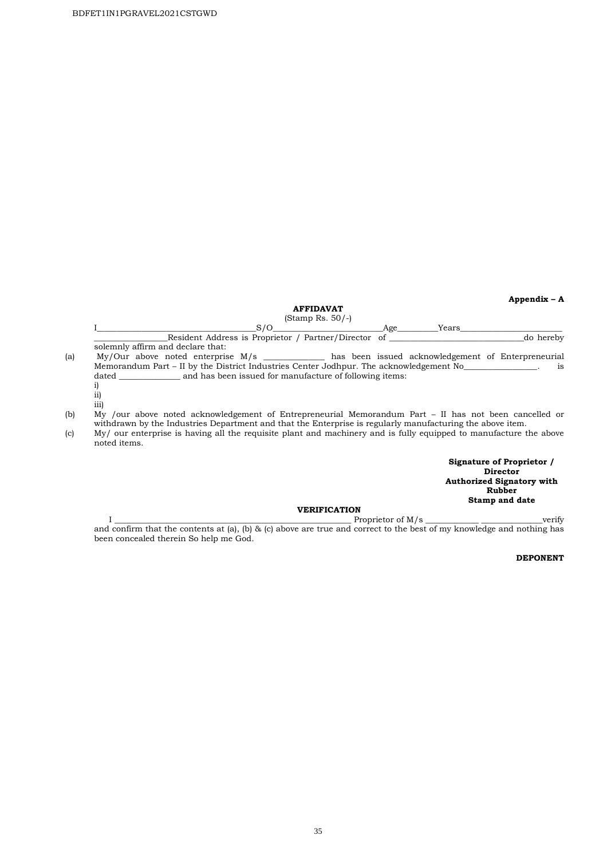**Appendix – A** 

#### **AFFIDAVAT**

#### (Stamp Rs. 50/-)

|     | S/O<br>Age<br>Years                                                                                                                                                                                                |
|-----|--------------------------------------------------------------------------------------------------------------------------------------------------------------------------------------------------------------------|
|     | Resident Address is Proprietor / Partner/Director of<br>do hereby                                                                                                                                                  |
|     | solemnly affirm and declare that:                                                                                                                                                                                  |
| (a) | My/Our above noted enterprise M/s ____________ has been issued acknowledgement of Enterpreneurial                                                                                                                  |
|     | Memorandum Part – II by the District Industries Center Jodhpur. The acknowledgement No<br>is                                                                                                                       |
|     | and has been issued for manufacture of following items:<br>dated                                                                                                                                                   |
|     |                                                                                                                                                                                                                    |
|     | ii)                                                                                                                                                                                                                |
|     | iii)                                                                                                                                                                                                               |
| (b) | My /our above noted acknowledgement of Entrepreneurial Memorandum Part – II has not been cancelled or<br>withdrawn by the Industries Department and that the Enterprise is regularly manufacturing the above item. |
| (c) | My/ our enterprise is having all the requisite plant and machinery and is fully equipped to manufacture the above<br>noted items.                                                                                  |

**Signature of Proprietor / Director Authorized Signatory with Rubber Stamp and date** 

#### **VERIFICATION**

#### $I \longrightarrow \text{Prepi}$ and confirm that the contents at (a), (b) & (c) above are true and correct to the best of my knowledge and nothing has been concealed therein So help me God.

#### **DEPONENT**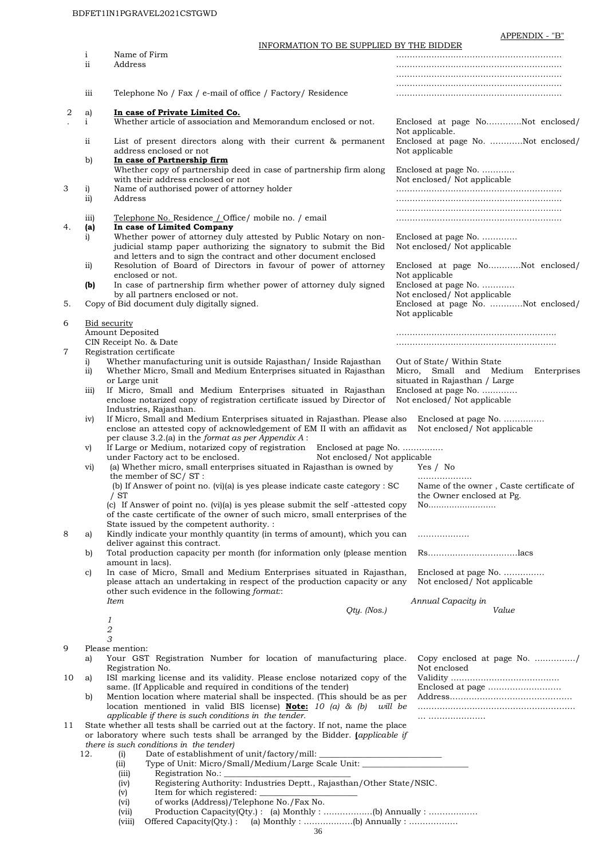APPENDIX - "B"

|    |                  | INFORMATION TO BE SUPPLIED BY THE BIDDER                                                                                                                                                                 |                | ້                                                                    |
|----|------------------|----------------------------------------------------------------------------------------------------------------------------------------------------------------------------------------------------------|----------------|----------------------------------------------------------------------|
|    | $\mathbf{i}$     | Name of Firm                                                                                                                                                                                             |                |                                                                      |
|    | ii               | Address                                                                                                                                                                                                  |                |                                                                      |
|    |                  |                                                                                                                                                                                                          |                |                                                                      |
|    | iii              | Telephone No / Fax / e-mail of office / Factory/ Residence                                                                                                                                               |                |                                                                      |
| 2  | a)               | In case of Private Limited Co.                                                                                                                                                                           |                |                                                                      |
|    | $\mathbf{i}$     | Whether article of association and Memorandum enclosed or not.                                                                                                                                           |                | Enclosed at page NoNot enclosed/<br>Not applicable.                  |
|    | ii               | List of present directors along with their current & permanent<br>address enclosed or not                                                                                                                |                | Enclosed at page No. Not enclosed/<br>Not applicable                 |
|    | b)               | In case of Partnership firm                                                                                                                                                                              |                |                                                                      |
|    |                  | Whether copy of partnership deed in case of partnership firm along<br>with their address enclosed or not                                                                                                 |                | Enclosed at page No.<br>Not enclosed/ Not applicable                 |
| 3  | $\mathbf{i}$     | Name of authorised power of attorney holder                                                                                                                                                              |                |                                                                      |
|    | ii)              | Address                                                                                                                                                                                                  |                |                                                                      |
|    | 111)             | Telephone No. Residence <i>L</i> Office/ mobile no. / email                                                                                                                                              |                |                                                                      |
| 4. | (a)              | In case of Limited Company                                                                                                                                                                               |                |                                                                      |
|    | i)               | Whether power of attorney duly attested by Public Notary on non-<br>judicial stamp paper authorizing the signatory to submit the Bid<br>and letters and to sign the contract and other document enclosed |                | Enclosed at page No.<br>Not enclosed/ Not applicable                 |
|    | $\overline{11}$  | Resolution of Board of Directors in favour of power of attorney<br>enclosed or not.                                                                                                                      |                | Enclosed at page NoNot enclosed/<br>Not applicable                   |
|    | (b)              | In case of partnership firm whether power of attorney duly signed                                                                                                                                        |                | Enclosed at page No.                                                 |
|    |                  | by all partners enclosed or not.                                                                                                                                                                         |                | Not enclosed/ Not applicable                                         |
| 5. |                  | Copy of Bid document duly digitally signed.                                                                                                                                                              | Not applicable | Enclosed at page No. Not enclosed/                                   |
| 6  |                  | <b>Bid security</b>                                                                                                                                                                                      |                |                                                                      |
|    |                  | Amount Deposited                                                                                                                                                                                         |                |                                                                      |
| 7  |                  | CIN Receipt No. & Date                                                                                                                                                                                   |                |                                                                      |
|    | i)               | Registration certificate<br>Whether manufacturing unit is outside Rajasthan/ Inside Rajasthan                                                                                                            |                | Out of State/ Within State                                           |
|    | ii)              | Whether Micro, Small and Medium Enterprises situated in Rajasthan                                                                                                                                        |                | Micro, Small and Medium Enterprises                                  |
|    |                  | or Large unit                                                                                                                                                                                            |                | situated in Rajasthan / Large                                        |
|    | $\overline{111}$ | If Micro, Small and Medium Enterprises situated in Rajasthan<br>enclose notarized copy of registration certificate issued by Director of                                                                 |                | Enclosed at page No.<br>Not enclosed/ Not applicable                 |
|    |                  | Industries, Rajasthan.                                                                                                                                                                                   |                |                                                                      |
|    | iv)              | If Micro, Small and Medium Enterprises situated in Rajasthan. Please also                                                                                                                                |                | Enclosed at page No.                                                 |
|    |                  | enclose an attested copy of acknowledgement of EM II with an affidavit as                                                                                                                                |                | Not enclosed/ Not applicable                                         |
|    |                  | per clause 3.2.(a) in the format as per Appendix A:<br>If Large or Medium, notarized copy of registration<br>Enclosed at page No.                                                                        |                |                                                                      |
|    | V)               | under Factory act to be enclosed.<br>Not enclosed/ Not applicable                                                                                                                                        |                |                                                                      |
|    | vi)              | (a) Whether micro, small enterprises situated in Rajasthan is owned by                                                                                                                                   |                | Yes / No                                                             |
|    |                  | the member of SC/ST:                                                                                                                                                                                     |                |                                                                      |
|    |                  | (b) If Answer of point no. (vi)(a) is yes please indicate caste category : SC<br>/ST                                                                                                                     |                | Name of the owner, Caste certificate of<br>the Owner enclosed at Pg. |
|    |                  | (c) If Answer of point no. $(vi)(a)$ is yes please submit the self-attested copy                                                                                                                         |                | No                                                                   |
|    |                  | of the caste certificate of the owner of such micro, small enterprises of the                                                                                                                            |                |                                                                      |
|    |                  | State issued by the competent authority. :<br>Kindly indicate your monthly quantity (in terms of amount), which you can                                                                                  |                |                                                                      |
| 8  | a)               | deliver against this contract.                                                                                                                                                                           |                | .                                                                    |
|    | b)               | Total production capacity per month (for information only (please mention                                                                                                                                |                |                                                                      |
|    |                  | amount in lacs).                                                                                                                                                                                         |                |                                                                      |
|    | C)               | In case of Micro, Small and Medium Enterprises situated in Rajasthan,<br>please attach an undertaking in respect of the production capacity or any                                                       |                | Enclosed at page No.<br>Not enclosed/ Not applicable                 |
|    |                  | other such evidence in the following format::                                                                                                                                                            |                |                                                                      |
|    |                  | <b>Item</b>                                                                                                                                                                                              |                | Annual Capacity in                                                   |
|    |                  | $Qty.$ (Nos.)                                                                                                                                                                                            |                | Value                                                                |
|    |                  | 1<br>2                                                                                                                                                                                                   |                |                                                                      |
|    |                  | 3                                                                                                                                                                                                        |                |                                                                      |
| 9  |                  | Please mention:                                                                                                                                                                                          |                |                                                                      |
|    | a)               | Your GST Registration Number for location of manufacturing place.<br>Registration No.                                                                                                                    |                | Copy enclosed at page No. /<br>Not enclosed                          |
| 10 | a)               | ISI marking license and its validity. Please enclose notarized copy of the                                                                                                                               |                |                                                                      |
|    |                  | same. (If Applicable and required in conditions of the tender)                                                                                                                                           |                |                                                                      |
|    | b)               | Mention location where material shall be inspected. (This should be as per                                                                                                                               |                |                                                                      |
|    |                  | location mentioned in valid BIS license) <b>Note:</b> 10 (a) & (b)<br>applicable if there is such conditions in the tender.                                                                              | will be        |                                                                      |
| 11 |                  | State whether all tests shall be carried out at the factory. If not, name the place                                                                                                                      |                |                                                                      |
|    |                  | or laboratory where such tests shall be arranged by the Bidder. <i>(applicable if</i>                                                                                                                    |                |                                                                      |
|    |                  | there is such conditions in the tender)                                                                                                                                                                  |                |                                                                      |
|    | 12.              | Date of establishment of unit/factory/mill:<br>(i)<br>Type of Unit: Micro/Small/Medium/Large Scale Unit: ______________________________<br>(iii)                                                         |                |                                                                      |
|    |                  | Registration No.:<br>(iii)                                                                                                                                                                               |                |                                                                      |
|    |                  | Registering Authority: Industries Deptt., Rajasthan/Other State/NSIC.<br>(iv)                                                                                                                            |                |                                                                      |
|    |                  | Item for which registered:<br>(v)                                                                                                                                                                        |                |                                                                      |
|    |                  | of works (Address)/Telephone No./Fax No.<br>$(v_i)$                                                                                                                                                      |                |                                                                      |

(vii) Production Capacity(Qty.) : (a) Monthly : ………………(b) Annually : ………………

(viii) Offered Capacity(Qty.) : (a) Monthly : ………………(b) Annually : ………………

36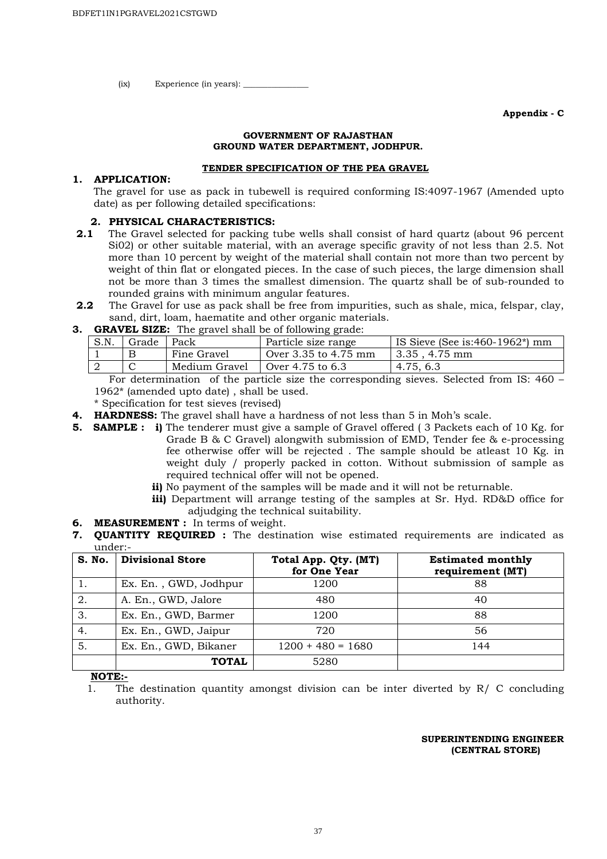$(ix)$  Experience (in years):

**Appendix - C** 

#### **GOVERNMENT OF RAJASTHAN GROUND WATER DEPARTMENT, JODHPUR.**

#### **TENDER SPECIFICATION OF THE PEA GRAVEL**

#### **1. APPLICATION:**

The gravel for use as pack in tubewell is required conforming IS:4097-1967 (Amended upto date) as per following detailed specifications:

#### **2. PHYSICAL CHARACTERISTICS:**

- **2.1** The Gravel selected for packing tube wells shall consist of hard quartz (about 96 percent Si02) or other suitable material, with an average specific gravity of not less than 2.5. Not more than 10 percent by weight of the material shall contain not more than two percent by weight of thin flat or elongated pieces. In the case of such pieces, the large dimension shall not be more than 3 times the smallest dimension. The quartz shall be of sub-rounded to rounded grains with minimum angular features.
- **2.2** The Gravel for use as pack shall be free from impurities, such as shale, mica, felspar, clay, sand, dirt, loam, haematite and other organic materials.
- **3. GRAVEL SIZE:** The gravel shall be of following grade:

| S.N. | Grade | Pack          | Particle size range  | IS Sieve (See is: 460 - 1962 <sup>*</sup> ) mm |
|------|-------|---------------|----------------------|------------------------------------------------|
|      |       | Fine Gravel   | Over 3.35 to 4.75 mm | 3.35 . 4.75 mm                                 |
|      |       | Medium Gravel | Over 4.75 to 6.3     | 4.75, 6.3                                      |

 For determination of the particle size the corresponding sieves. Selected from IS: 460 – 1962\* (amended upto date) , shall be used.

- \* Specification for test sieves (revised)
- **4. HARDNESS:** The gravel shall have a hardness of not less than 5 in Moh's scale.
- **5. SAMPLE :** i) The tenderer must give a sample of Gravel offered (3 Packets each of 10 Kg. for Grade B & C Gravel) alongwith submission of EMD, Tender fee & e-processing fee otherwise offer will be rejected . The sample should be atleast 10 Kg. in weight duly / properly packed in cotton. Without submission of sample as required technical offer will not be opened.
	- **ii)** No payment of the samples will be made and it will not be returnable.
	- **iii)** Department will arrange testing of the samples at Sr. Hyd. RD&D office for adjudging the technical suitability.
- **6. MEASUREMENT :** In terms of weight.
- **7. QUANTITY REQUIRED :** The destination wise estimated requirements are indicated as under:-

| S. No.           | <b>Divisional Store</b> | Total App. Qty. (MT)<br>for One Year | <b>Estimated monthly</b><br>requirement (MT) |
|------------------|-------------------------|--------------------------------------|----------------------------------------------|
|                  | Ex. En., GWD, Jodhpur   | 1200                                 | 88                                           |
| $\overline{2}$ . | A. En., GWD, Jalore     | 480                                  | 40                                           |
| $\overline{3}$ . | Ex. En., GWD, Barmer    | 1200                                 | 88                                           |
| 4.               | Ex. En., GWD, Jaipur    | 720                                  | 56                                           |
| $\overline{5}$ . | Ex. En., GWD, Bikaner   | $1200 + 480 = 1680$                  | 144                                          |
|                  | <b>TOTAL</b>            | 5280                                 |                                              |

**NOTE:-**

1. The destination quantity amongst division can be inter diverted by R/ C concluding authority.

#### **SUPERINTENDING ENGINEER (CENTRAL STORE)**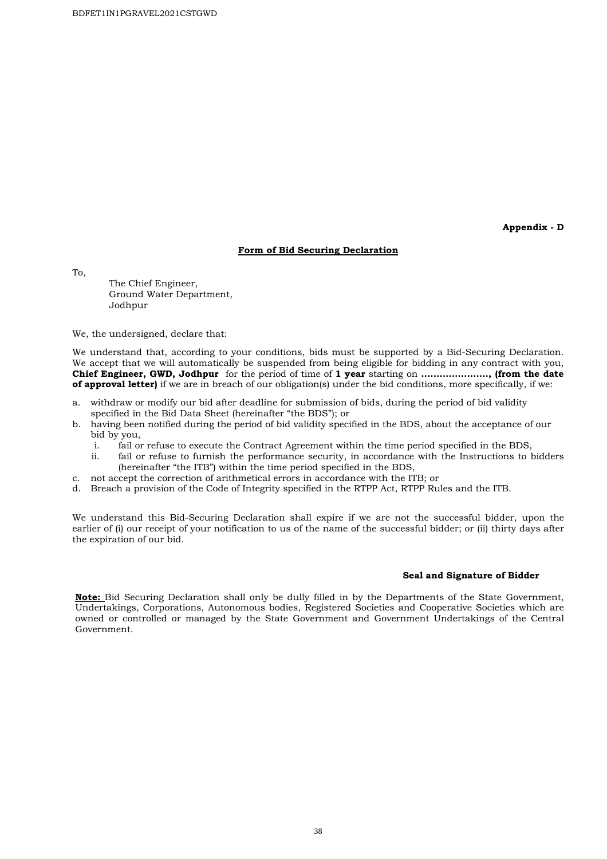**Appendix - D** 

#### **Form of Bid Securing Declaration**

To,

 The Chief Engineer, Ground Water Department, Jodhpur

We, the undersigned, declare that:

We understand that, according to your conditions, bids must be supported by a Bid-Securing Declaration. We accept that we will automatically be suspended from being eligible for bidding in any contract with you, **Chief Engineer, GWD, Jodhpur** for the period of time of **1 year** starting on **......................, (from the date of approval letter)** if we are in breach of our obligation(s) under the bid conditions, more specifically, if we:

- a. withdraw or modify our bid after deadline for submission of bids, during the period of bid validity specified in the Bid Data Sheet (hereinafter "the BDS"); or
- b. having been notified during the period of bid validity specified in the BDS, about the acceptance of our bid by you,
	- i. fail or refuse to execute the Contract Agreement within the time period specified in the BDS,
	- ii. fail or refuse to furnish the performance security, in accordance with the Instructions to bidders (hereinafter "the ITB") within the time period specified in the BDS,
- c. not accept the correction of arithmetical errors in accordance with the ITB; or
- d. Breach a provision of the Code of Integrity specified in the RTPP Act, RTPP Rules and the ITB.

We understand this Bid-Securing Declaration shall expire if we are not the successful bidder, upon the earlier of (i) our receipt of your notification to us of the name of the successful bidder; or (ii) thirty days after the expiration of our bid.

#### **Seal and Signature of Bidder**

**Note:** Bid Securing Declaration shall only be dully filled in by the Departments of the State Government, Undertakings, Corporations, Autonomous bodies, Registered Societies and Cooperative Societies which are owned or controlled or managed by the State Government and Government Undertakings of the Central Government.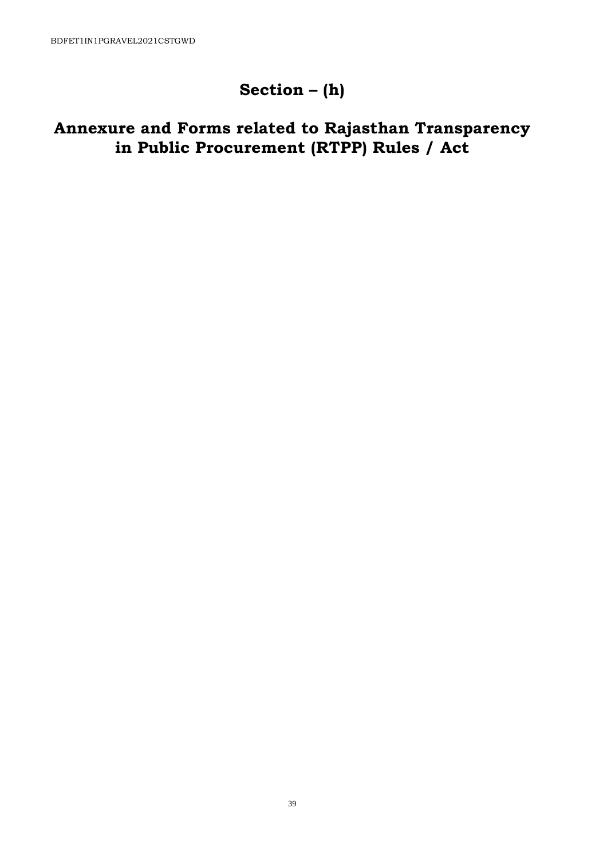# **Section – (h)**

# **Annexure and Forms related to Rajasthan Transparency in Public Procurement (RTPP) Rules / Act**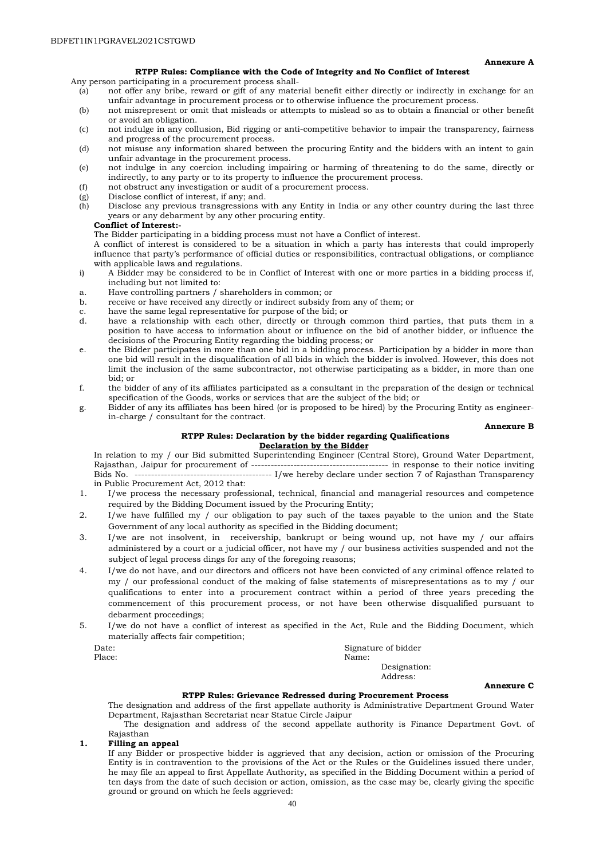**Annexure A** 

#### **RTPP Rules: Compliance with the Code of Integrity and No Conflict of Interest**

Any person participating in a procurement process shall-

- (a) not offer any bribe, reward or gift of any material benefit either directly or indirectly in exchange for an unfair advantage in procurement process or to otherwise influence the procurement process.
- (b) not misrepresent or omit that misleads or attempts to mislead so as to obtain a financial or other benefit or avoid an obligation.
- (c) not indulge in any collusion, Bid rigging or anti-competitive behavior to impair the transparency, fairness and progress of the procurement process.
- (d) not misuse any information shared between the procuring Entity and the bidders with an intent to gain unfair advantage in the procurement process.
- (e) not indulge in any coercion including impairing or harming of threatening to do the same, directly or indirectly, to any party or to its property to influence the procurement process.
- (f) not obstruct any investigation or audit of a procurement process.
- (g) Disclose conflict of interest, if any; and.<br>(h) Disclose any previous transgressions  $\bf{w}$
- Disclose any previous transgressions with any Entity in India or any other country during the last three years or any debarment by any other procuring entity.

#### **Conflict of Interest:-**

The Bidder participating in a bidding process must not have a Conflict of interest.

A conflict of interest is considered to be a situation in which a party has interests that could improperly influence that party's performance of official duties or responsibilities, contractual obligations, or compliance with applicable laws and regulations.

- i) A Bidder may be considered to be in Conflict of Interest with one or more parties in a bidding process if, including but not limited to:
- a. Have controlling partners / shareholders in common; or
- b. receive or have received any directly or indirect subsidy from any of them; or
- c. have the same legal representative for purpose of the bid; or
- have a relationship with each other, directly or through common third parties, that puts them in a position to have access to information about or influence on the bid of another bidder, or influence the decisions of the Procuring Entity regarding the bidding process; or
- e. the Bidder participates in more than one bid in a bidding process. Participation by a bidder in more than one bid will result in the disqualification of all bids in which the bidder is involved. However, this does not limit the inclusion of the same subcontractor, not otherwise participating as a bidder, in more than one bid; or
- f. the bidder of any of its affiliates participated as a consultant in the preparation of the design or technical specification of the Goods, works or services that are the subject of the bid; or
- g. Bidder of any its affiliates has been hired (or is proposed to be hired) by the Procuring Entity as engineerin-charge / consultant for the contract.

#### **Annexure B**

#### **RTPP Rules: Declaration by the bidder regarding Qualifications Declaration by the Bidder**

In relation to my / our Bid submitted Superintending Engineer (Central Store), Ground Water Department, Rajasthan, Jaipur for procurement of ------------------------------------------ in response to their notice inviting Bids No. ------------------------------------------ I/we hereby declare under section 7 of Rajasthan Transparency in Public Procurement Act, 2012 that:

- 1. I/we process the necessary professional, technical, financial and managerial resources and competence required by the Bidding Document issued by the Procuring Entity;
- 2. I/we have fulfilled my / our obligation to pay such of the taxes payable to the union and the State Government of any local authority as specified in the Bidding document;
- 3. I/we are not insolvent, in receivership, bankrupt or being wound up, not have my / our affairs administered by a court or a judicial officer, not have my / our business activities suspended and not the subject of legal process dings for any of the foregoing reasons;
- 4. I/we do not have, and our directors and officers not have been convicted of any criminal offence related to my / our professional conduct of the making of false statements of misrepresentations as to my / our qualifications to enter into a procurement contract within a period of three years preceding the commencement of this procurement process, or not have been otherwise disqualified pursuant to debarment proceedings;
- 5. I/we do not have a conflict of interest as specified in the Act, Rule and the Bidding Document, which materially affects fair competition;

| Date:  | Signature of bidder |
|--------|---------------------|
| Place: | Name:               |
|        | Designation:        |
|        | Address:            |

#### **Annexure C**

#### **RTPP Rules: Grievance Redressed during Procurement Process**

The designation and address of the first appellate authority is Administrative Department Ground Water Department, Rajasthan Secretariat near Statue Circle Jaipur

The designation and address of the second appellate authority is Finance Department Govt. of Rajasthan

#### **1. Filling an appeal**

If any Bidder or prospective bidder is aggrieved that any decision, action or omission of the Procuring Entity is in contravention to the provisions of the Act or the Rules or the Guidelines issued there under, he may file an appeal to first Appellate Authority, as specified in the Bidding Document within a period of ten days from the date of such decision or action, omission, as the case may be, clearly giving the specific ground or ground on which he feels aggrieved: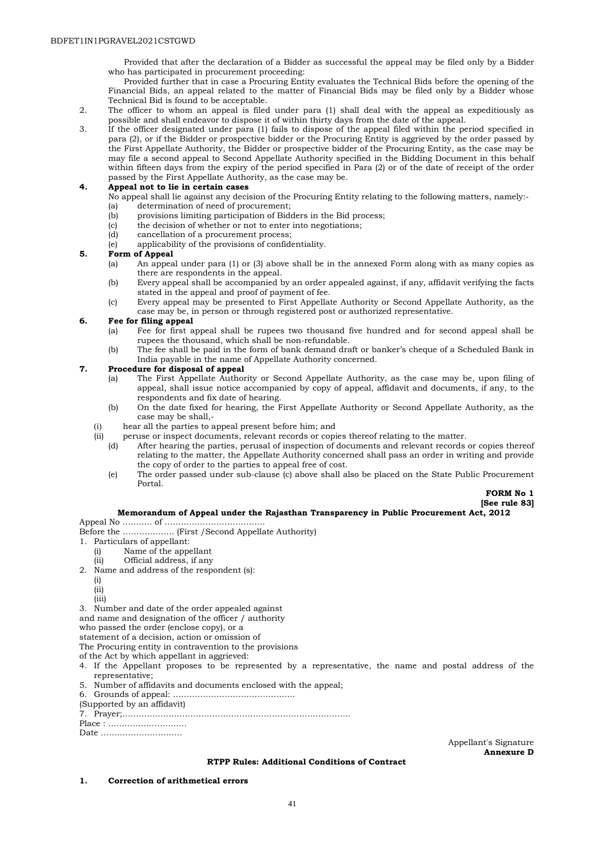Provided that after the declaration of a Bidder as successful the appeal may be filed only by a Bidder who has participated in procurement proceeding:

Provided further that in case a Procuring Entity evaluates the Technical Bids before the opening of the Financial Bids, an appeal related to the matter of Financial Bids may be filed only by a Bidder whose Technical Bid is found to be acceptable.

- 2. The officer to whom an appeal is filed under para (1) shall deal with the appeal as expeditiously as possible and shall endeavor to dispose it of within thirty days from the date of the appeal.
- 3. If the officer designated under para (1) fails to dispose of the appeal filed within the period specified in para (2), or if the Bidder or prospective bidder or the Procuring Entity is aggrieved by the order passed by the First Appellate Authority, the Bidder or prospective bidder of the Procuring Entity, as the case may be may file a second appeal to Second Appellate Authority specified in the Bidding Document in this behalf within fifteen days from the expiry of the period specified in Para (2) or of the date of receipt of the order passed by the First Appellate Authority, as the case may be.

#### **4. Appeal not to lie in certain cases**

- No appeal shall lie against any decision of the Procuring Entity relating to the following matters, namely:-
- (a) determination of need of procurement;
- (b) provisions limiting participation of Bidders in the Bid process;
- (c) the decision of whether or not to enter into negotiations;
- (d) cancellation of a procurement process;
- (e) applicability of the provisions of confidentiality.

#### **5. Form of Appeal**

- (a) An appeal under para (1) or (3) above shall be in the annexed Form along with as many copies as there are respondents in the appeal.
- (b) Every appeal shall be accompanied by an order appealed against, if any, affidavit verifying the facts stated in the appeal and proof of payment of fee.
- (c) Every appeal may be presented to First Appellate Authority or Second Appellate Authority, as the case may be, in person or through registered post or authorized representative.

#### **6. Fee for filing appeal**

- (a) Fee for first appeal shall be rupees two thousand five hundred and for second appeal shall be rupees the thousand, which shall be non-refundable.
- (b) The fee shall be paid in the form of bank demand draft or banker's cheque of a Scheduled Bank in India payable in the name of Appellate Authority concerned.

#### **7. Procedure for disposal of appeal**

- (a) The First Appellate Authority or Second Appellate Authority, as the case may be, upon filing of appeal, shall issue notice accompanied by copy of appeal, affidavit and documents, if any, to the respondents and fix date of hearing.
- (b) On the date fixed for hearing, the First Appellate Authority or Second Appellate Authority, as the case may be shall,-
- (i) hear all the parties to appeal present before him; and
- (ii) peruse or inspect documents, relevant records or copies thereof relating to the matter.<br>(d) After hearing the parties perusal of inspection of documents and relevant records
	- After hearing the parties, perusal of inspection of documents and relevant records or copies thereof relating to the matter, the Appellate Authority concerned shall pass an order in writing and provide the copy of order to the parties to appeal free of cost.
	- (e) The order passed under sub-clause (c) above shall also be placed on the State Public Procurement Portal.

**FORM No 1 [See rule 83]** 

#### **Memorandum of Appeal under the Rajasthan Transparency in Public Procurement Act, 2012**

Appeal No ……….. of ……………………………….

- Before the ………………. (First /Second Appellate Authority)
- 1. Particulars of appellant:<br>(i) Name of the appe
	- Name of the appellant
- (ii) Official address, if any 2. Name and address of the respondent (s):
	-
	- (i)
	- (ii) (iii)
- 3. Number and date of the order appealed against
- and name and designation of the officer / authority
- who passed the order (enclose copy), or a

statement of a decision, action or omission of

- The Procuring entity in contravention to the provisions
- of the Act by which appellant in aggrieved:
- 4. If the Appellant proposes to be represented by a representative, the name and postal address of the representative;
- 5. Number of affidavits and documents enclosed with the appeal;
- 6. Grounds of appeal: ……………………………………...
- (Supported by an affidavit)
- 7. Prayer;…………………………………………………………………………

Place : ……………………….. Date …………………………

> Appellant's Signature **Annexure D**

#### **RTPP Rules: Additional Conditions of Contract**

**1. Correction of arithmetical errors**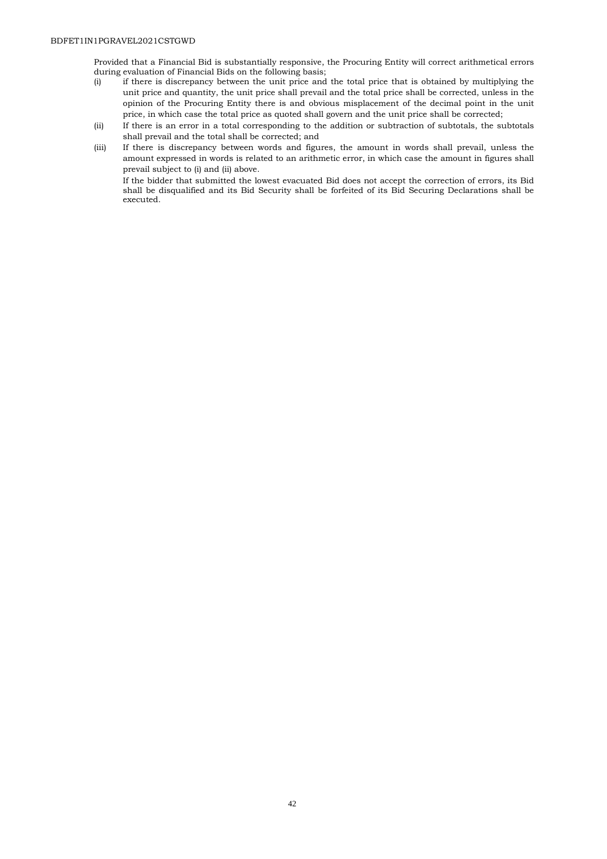Provided that a Financial Bid is substantially responsive, the Procuring Entity will correct arithmetical errors during evaluation of Financial Bids on the following basis;

- (i) if there is discrepancy between the unit price and the total price that is obtained by multiplying the unit price and quantity, the unit price shall prevail and the total price shall be corrected, unless in the opinion of the Procuring Entity there is and obvious misplacement of the decimal point in the unit price, in which case the total price as quoted shall govern and the unit price shall be corrected;
- (ii) If there is an error in a total corresponding to the addition or subtraction of subtotals, the subtotals shall prevail and the total shall be corrected; and
- (iii) If there is discrepancy between words and figures, the amount in words shall prevail, unless the amount expressed in words is related to an arithmetic error, in which case the amount in figures shall prevail subject to (i) and (ii) above.

If the bidder that submitted the lowest evacuated Bid does not accept the correction of errors, its Bid shall be disqualified and its Bid Security shall be forfeited of its Bid Securing Declarations shall be executed.